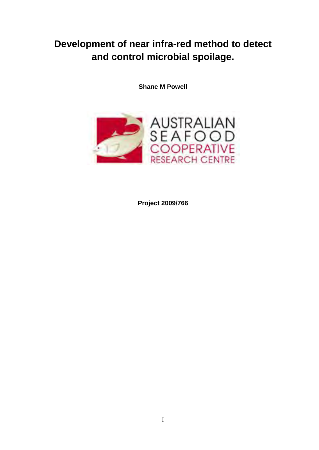# **Development of near infra-red method to detect and control microbial spoilage.**

**Shane M Powell** 



**Project 2009/766**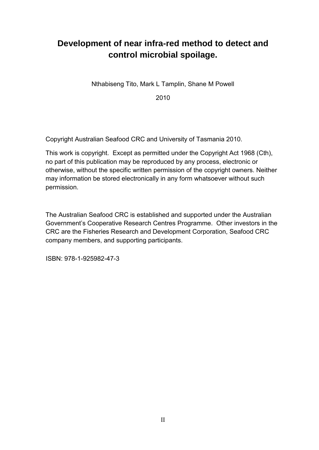# **Development of near infra-red method to detect and control microbial spoilage.**

Nthabiseng Tito, Mark L Tamplin, Shane M Powell

2010

Copyright Australian Seafood CRC and University of Tasmania 2010.

This work is copyright. Except as permitted under the Copyright Act 1968 (Cth), no part of this publication may be reproduced by any process, electronic or otherwise, without the specific written permission of the copyright owners. Neither may information be stored electronically in any form whatsoever without such permission.

The Australian Seafood CRC is established and supported under the Australian Government's Cooperative Research Centres Programme. Other investors in the CRC are the Fisheries Research and Development Corporation, Seafood CRC company members, and supporting participants.

ISBN: 978-1-925982-47-3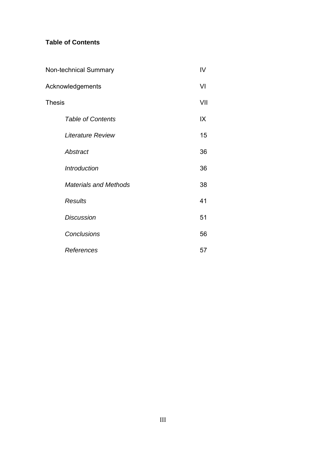## **Table of Contents**

| <b>Non-technical Summary</b> |                              |     |
|------------------------------|------------------------------|-----|
| Acknowledgements             |                              | VI  |
| <b>Thesis</b>                |                              | VII |
|                              | <b>Table of Contents</b>     | IX  |
|                              | <b>Literature Review</b>     | 15  |
|                              | Abstract                     | 36  |
|                              | Introduction                 | 36  |
|                              | <b>Materials and Methods</b> | 38  |
|                              | <b>Results</b>               | 41  |
|                              | <b>Discussion</b>            | 51  |
|                              | <b>Conclusions</b>           | 56  |
|                              | References                   | 57  |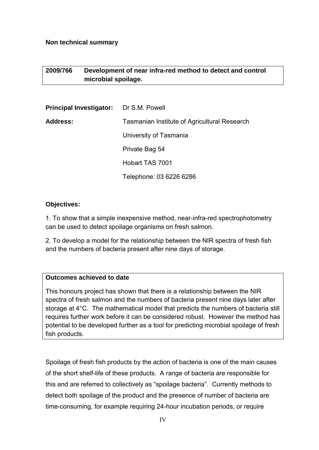### **Non technical summary**

## **2009/766 Development of near infra-red method to detect and control microbial spoilage.**

| <b>Principal Investigator:</b> Dr S.M. Powell |                                              |
|-----------------------------------------------|----------------------------------------------|
| Address:                                      | Tasmanian Institute of Agricultural Research |
|                                               | University of Tasmania                       |
|                                               | Private Bag 54                               |
|                                               | Hobart TAS 7001                              |
|                                               | Telephone: 03 6226 6286                      |

## **Objectives:**

1. To show that a simple inexpensive method, near-infra-red spectrophotometry can be used to detect spoilage organisms on fresh salmon.

2. To develop a model for the relationship between the NIR spectra of fresh fish and the numbers of bacteria present after nine days of storage.

### **Outcomes achieved to date**

This honours project has shown that there is a relationship between the NIR spectra of fresh salmon and the numbers of bacteria present nine days later after storage at 4°C. The mathematical model that predicts the numbers of bacteria still requires further work before it can be considered robust. However the method has potential to be developed further as a tool for predicting microbial spoilage of fresh fish products.

Spoilage of fresh fish products by the action of bacteria is one of the main causes of the short shelf-life of these products. A range of bacteria are responsible for this and are referred to collectively as "spoilage bacteria". Currently methods to detect both spoilage of the product and the presence of number of bacteria are time-consuming, for example requiring 24-hour incubation periods, or require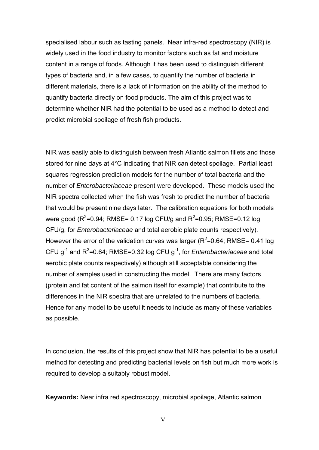specialised labour such as tasting panels. Near infra-red spectroscopy (NIR) is widely used in the food industry to monitor factors such as fat and moisture content in a range of foods. Although it has been used to distinguish different types of bacteria and, in a few cases, to quantify the number of bacteria in different materials, there is a lack of information on the ability of the method to quantify bacteria directly on food products. The aim of this project was to determine whether NIR had the potential to be used as a method to detect and predict microbial spoilage of fresh fish products.

NIR was easily able to distinguish between fresh Atlantic salmon fillets and those stored for nine days at 4°C indicating that NIR can detect spoilage. Partial least squares regression prediction models for the number of total bacteria and the number of *Enterobacteriaceae* present were developed. These models used the NIR spectra collected when the fish was fresh to predict the number of bacteria that would be present nine days later. The calibration equations for both models were good (R<sup>2</sup>=0.94; RMSE= 0.17 log CFU/g and R<sup>2</sup>=0.95; RMSE=0.12 log CFU/g, for *Enterobacteriaceae* and total aerobic plate counts respectively). However the error of the validation curves was larger ( $R^2$ =0.64; RMSE= 0.41 log CFU  $g^{-1}$  and  $R^2$ =0.64; RMSE=0.32 log CFU  $g^{-1}$ , for *Enterobacteriaceae* and total aerobic plate counts respectively) although still acceptable considering the number of samples used in constructing the model. There are many factors (protein and fat content of the salmon itself for example) that contribute to the differences in the NIR spectra that are unrelated to the numbers of bacteria. Hence for any model to be useful it needs to include as many of these variables as possible.

In conclusion, the results of this project show that NIR has potential to be a useful method for detecting and predicting bacterial levels on fish but much more work is required to develop a suitably robust model.

**Keywords:** Near infra red spectroscopy, microbial spoilage, Atlantic salmon

V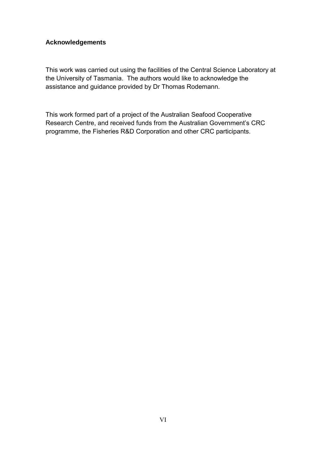## **Acknowledgements**

This work was carried out using the facilities of the Central Science Laboratory at the University of Tasmania. The authors would like to acknowledge the assistance and guidance provided by Dr Thomas Rodemann.

This work formed part of a project of the Australian Seafood Cooperative Research Centre, and received funds from the Australian Government's CRC programme, the Fisheries R&D Corporation and other CRC participants.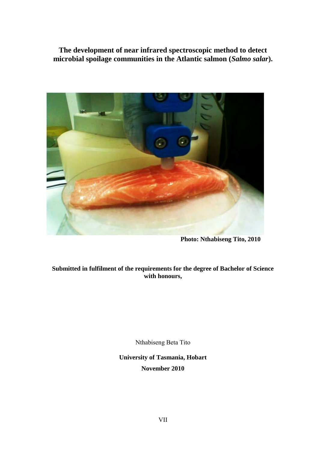**The development of near infrared spectroscopic method to detect microbial spoilage communities in the Atlantic salmon (***Salmo salar***).**



**Photo: Nthabiseng Tito, 2010** 

## **Submitted in fulfilment of the requirements for the degree of Bachelor of Science with honours,**

Nthabiseng Beta Tito

**University of Tasmania, Hobart November 2010**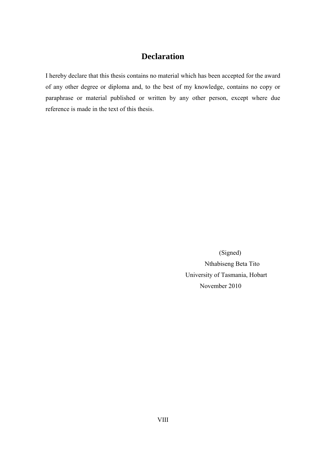## **Declaration**

I hereby declare that this thesis contains no material which has been accepted for the award of any other degree or diploma and, to the best of my knowledge, contains no copy or paraphrase or material published or written by any other person, except where due reference is made in the text of this thesis.

> (Signed) Nthabiseng Beta Tito University of Tasmania, Hobart November 2010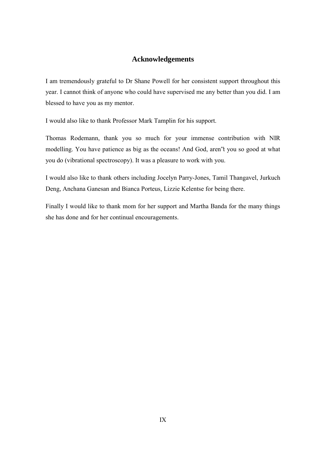## **Acknowledgements**

I am tremendously grateful to Dr Shane Powell for her consistent support throughout this year. I cannot think of anyone who could have supervised me any better than you did. I am blessed to have you as my mentor.

I would also like to thank Professor Mark Tamplin for his support.

Thomas Rodemann, thank you so much for your immense contribution with NIR modelling. You have patience as big as the oceans! And God, aren"t you so good at what you do (vibrational spectroscopy). It was a pleasure to work with you.

I would also like to thank others including Jocelyn Parry-Jones, Tamil Thangavel, Jurkuch Deng, Anchana Ganesan and Bianca Porteus, Lizzie Kelentse for being there.

Finally I would like to thank mom for her support and Martha Banda for the many things she has done and for her continual encouragements.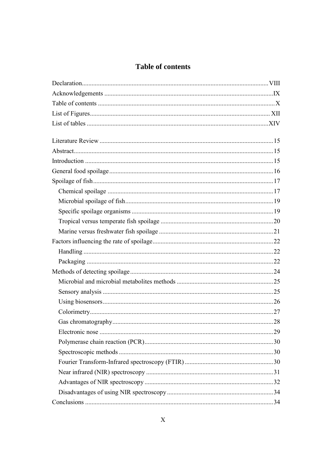# **Table of contents**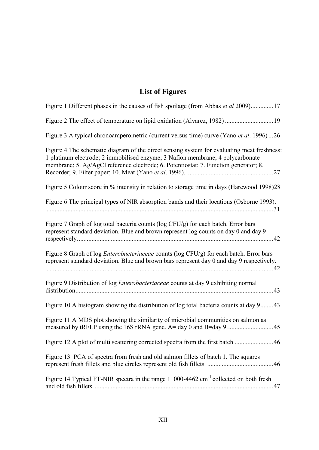# **List of Figures**

| Figure 1 Different phases in the causes of fish spoilage (from Abbas et al 2009)17                                                                                                                                                                                   |
|----------------------------------------------------------------------------------------------------------------------------------------------------------------------------------------------------------------------------------------------------------------------|
| Figure 2 The effect of temperature on lipid oxidation (Alvarez, 1982)  19                                                                                                                                                                                            |
| Figure 3 A typical chronoamperometric (current versus time) curve (Yano et al. 1996)26                                                                                                                                                                               |
| Figure 4 The schematic diagram of the direct sensing system for evaluating meat freshness:<br>1 platinum electrode; 2 immobilised enzyme; 3 Nafion membrane; 4 polycarbonate<br>membrane; 5. Ag/AgCl reference electrode; 6. Potentiostat; 7. Function generator; 8. |
| Figure 5 Colour score in % intensity in relation to storage time in days (Harewood 1998)28                                                                                                                                                                           |
| Figure 6 The principal types of NIR absorption bands and their locations (Osborne 1993).                                                                                                                                                                             |
| Figure 7 Graph of log total bacteria counts (log CFU/g) for each batch. Error bars<br>represent standard deviation. Blue and brown represent log counts on day 0 and day 9                                                                                           |
| Figure 8 Graph of log <i>Enterobacteriaceae</i> counts (log CFU/g) for each batch. Error bars<br>represent standard deviation. Blue and brown bars represent day 0 and day 9 respectively.                                                                           |
| Figure 9 Distribution of log <i>Enterobacteriaceae</i> counts at day 9 exhibiting normal                                                                                                                                                                             |
| Figure 10 A histogram showing the distribution of log total bacteria counts at day 943                                                                                                                                                                               |
| Figure 11 A MDS plot showing the similarity of microbial communities on salmon as                                                                                                                                                                                    |
| Figure 12 A plot of multi scattering corrected spectra from the first batch 46                                                                                                                                                                                       |
| Figure 13 PCA of spectra from fresh and old salmon fillets of batch 1. The squares                                                                                                                                                                                   |
| Figure 14 Typical FT-NIR spectra in the range 11000-4462 cm <sup>-1</sup> collected on both fresh                                                                                                                                                                    |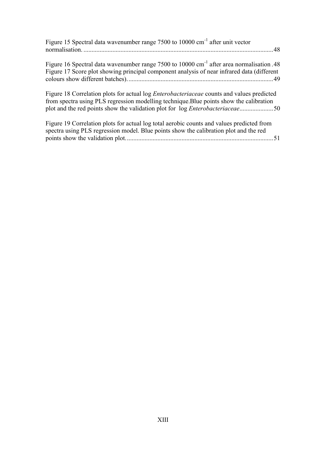| Figure 15 Spectral data wavenumber range 7500 to 10000 cm <sup>-1</sup> after unit vector                                                                                                                                                                                            |
|--------------------------------------------------------------------------------------------------------------------------------------------------------------------------------------------------------------------------------------------------------------------------------------|
| Figure 16 Spectral data wavenumber range 7500 to 10000 cm <sup>-1</sup> after area normalisation .48<br>Figure 17 Score plot showing principal component analysis of near infrared data (different                                                                                   |
| Figure 18 Correlation plots for actual log <i>Enterobacteriaceae</i> counts and values predicted<br>from spectra using PLS regression modelling technique. Blue points show the calibration<br>plot and the red points show the validation plot for log <i>Enterobacteriaceae</i> 50 |
| Figure 19 Correlation plots for actual log total aerobic counts and values predicted from<br>spectra using PLS regression model. Blue points show the calibration plot and the red                                                                                                   |

points show the validation plot. ........................................................................................... 51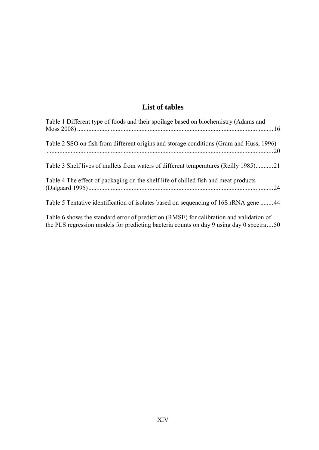# **List of tables**

| Table 1 Different type of foods and their spoilage based on biochemistry (Adams and                                                                                                |
|------------------------------------------------------------------------------------------------------------------------------------------------------------------------------------|
| Table 2 SSO on fish from different origins and storage conditions (Gram and Huss, 1996)<br>$\cdot$ 20                                                                              |
| Table 3 Shelf lives of mullets from waters of different temperatures (Reilly 1985)21                                                                                               |
| Table 4 The effect of packaging on the shelf life of chilled fish and meat products<br>.24                                                                                         |
| Table 5 Tentative identification of isolates based on sequencing of 16S rRNA gene 44                                                                                               |
| Table 6 shows the standard error of prediction (RMSE) for calibration and validation of<br>the PLS regression models for predicting bacteria counts on day 9 using day 0 spectra50 |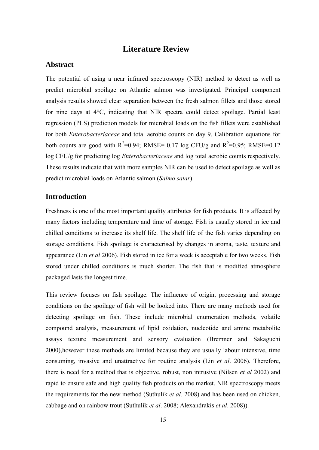## **Literature Review**

#### **Abstract**

The potential of using a near infrared spectroscopy (NIR) method to detect as well as predict microbial spoilage on Atlantic salmon was investigated. Principal component analysis results showed clear separation between the fresh salmon fillets and those stored for nine days at 4°C, indicating that NIR spectra could detect spoilage. Partial least regression (PLS) prediction models for microbial loads on the fish fillets were established for both *Enterobacteriaceae* and total aerobic counts on day 9. Calibration equations for both counts are good with  $R^2=0.94$ ; RMSE= 0.17 log CFU/g and  $R^2=0.95$ ; RMSE=0.12 log CFU/g for predicting log *Enterobacteriaceae* and log total aerobic counts respectively. These results indicate that with more samples NIR can be used to detect spoilage as well as predict microbial loads on Atlantic salmon (*Salmo salar*).

## **Introduction**

Freshness is one of the most important quality attributes for fish products. It is affected by many factors including temperature and time of storage. Fish is usually stored in ice and chilled conditions to increase its shelf life. The shelf life of the fish varies depending on storage conditions. Fish spoilage is characterised by changes in aroma, taste, texture and appearance (Lin *et al* 2006). Fish stored in ice for a week is acceptable for two weeks. Fish stored under chilled conditions is much shorter. The fish that is modified atmosphere packaged lasts the longest time.

This review focuses on fish spoilage. The influence of origin, processing and storage conditions on the spoilage of fish will be looked into. There are many methods used for detecting spoilage on fish. These include microbial enumeration methods, volatile compound analysis, measurement of lipid oxidation, nucleotide and amine metabolite assays texture measurement and sensory evaluation (Bremner and Sakaguchi 2000),however these methods are limited because they are usually labour intensive, time consuming, invasive and unattractive for routine analysis (Lin *et al*. 2006). Therefore, there is need for a method that is objective, robust, non intrusive (Nilsen *et al* 2002) and rapid to ensure safe and high quality fish products on the market. NIR spectroscopy meets the requirements for the new method (Suthulik *et al*. 2008) and has been used on chicken, cabbage and on rainbow trout (Suthulik *et al*. 2008; Alexandrakis *et al*. 2008)).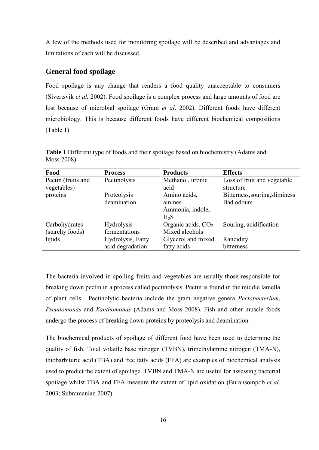A few of the methods used for monitoring spoilage will be described and advantages and limitations of each will be discussed.

## **General food spoilage**

Food spoilage is any change that renders a food quality unacceptable to consumers (Sivertsvik *et al.* 2002). Food spoilage is a complex process and large amounts of food are lost because of microbial spoilage (Gram *et al*. 2002). Different foods have different microbiology. This is because different foods have different biochemical compositions (Table 1).

| Food               | <b>Process</b>    | <b>Products</b>      | <b>Effects</b>                 |
|--------------------|-------------------|----------------------|--------------------------------|
| Pectin (fruits and | Pectinolysis      | Methanol, uronic     | Loss of fruit and vegetable    |
| vegetables)        |                   | acid                 | structure                      |
| proteins           | Proteolysis       | Amino acids,         | Bitterness, souring, sliminess |
|                    | deamination       | amines               | Bad odours                     |
|                    |                   | Ammonia, indole,     |                                |
|                    |                   | H <sub>2</sub> S     |                                |
| Carbohydrates      | Hydrolysis        | Organic acids, $CO2$ | Souring, acidification         |
| (starchy foods)    | fermentations     | Mixed alcohols       |                                |
| lipids             | Hydrolysis, Fatty | Glycerol and mixed   | Rancidity                      |
|                    | acid degradation  | fatty acids          | bitterness                     |

**Table 1** Different type of foods and their spoilage based on biochemistry (Adams and Moss 2008)

The bacteria involved in spoiling fruits and vegetables are usually those responsible for breaking down pectin in a process called pectinolysis. Pectin is found in the middle lamella of plant cells. Pectinolytic bacteria include the gram negative genera *Pectobacterium, Pseudomonas* and *Xanthomonas* (Adams and Moss 2008). Fish and other muscle foods undergo the process of breaking down proteins by proteolysis and deamination.

The biochemical products of spoilage of different food have been used to determine the quality of fish. Total volatile base nitrogen (TVBN), trimethylamine nitrogen (TMA-N), thiobarbituric acid (TBA) and free fatty acids (FFA) are examples of biochemical analysis used to predict the extent of spoilage. TVBN and TMA-N are useful for assessing bacterial spoilage whilst TBA and FFA measure the extent of lipid oxidation (Buransompob *et al.* 2003; Subramanian 2007).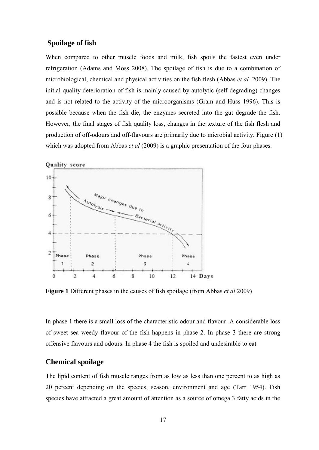## **Spoilage of fish**

When compared to other muscle foods and milk, fish spoils the fastest even under refrigeration (Adams and Moss 2008). The spoilage of fish is due to a combination of microbiological, chemical and physical activities on the fish flesh (Abbas *et al.* 2009). The initial quality deterioration of fish is mainly caused by autolytic (self degrading) changes and is not related to the activity of the microorganisms (Gram and Huss 1996). This is possible because when the fish die, the enzymes secreted into the gut degrade the fish. However, the final stages of fish quality loss, changes in the texture of the fish flesh and production of off-odours and off-flavours are primarily due to microbial activity. Figure (1) which was adopted from Abbas *et al* (2009) is a graphic presentation of the four phases.



**Figure 1** Different phases in the causes of fish spoilage (from Abbas *et al* 2009)

In phase 1 there is a small loss of the characteristic odour and flavour. A considerable loss of sweet sea weedy flavour of the fish happens in phase 2. In phase 3 there are strong offensive flavours and odours. In phase 4 the fish is spoiled and undesirable to eat.

## **Chemical spoilage**

The lipid content of fish muscle ranges from as low as less than one percent to as high as 20 percent depending on the species, season, environment and age (Tarr 1954). Fish species have attracted a great amount of attention as a source of omega 3 fatty acids in the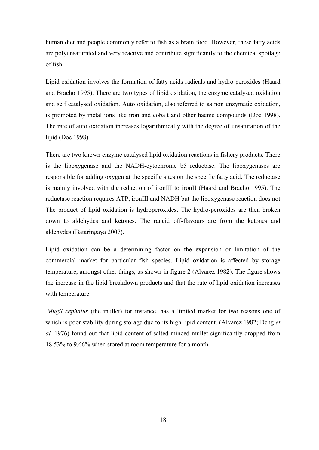human diet and people commonly refer to fish as a brain food. However, these fatty acids are polyunsaturated and very reactive and contribute significantly to the chemical spoilage of fish.

Lipid oxidation involves the formation of fatty acids radicals and hydro peroxides (Haard and Bracho 1995). There are two types of lipid oxidation, the enzyme catalysed oxidation and self catalysed oxidation. Auto oxidation, also referred to as non enzymatic oxidation, is promoted by metal ions like iron and cobalt and other haeme compounds (Doe 1998). The rate of auto oxidation increases logarithmically with the degree of unsaturation of the lipid (Doe 1998).

There are two known enzyme catalysed lipid oxidation reactions in fishery products. There is the lipoxygenase and the NADH-cytochrome b5 reductase. The lipoxygenases are responsible for adding oxygen at the specific sites on the specific fatty acid. The reductase is mainly involved with the reduction of ironIII to ironII (Haard and Bracho 1995). The reductase reaction requires ATP, ironIII and NADH but the lipoxygenase reaction does not. The product of lipid oxidation is hydroperoxides. The hydro-peroxides are then broken down to aldehydes and ketones. The rancid off-flavours are from the ketones and aldehydes (Bataringaya 2007).

Lipid oxidation can be a determining factor on the expansion or limitation of the commercial market for particular fish species. Lipid oxidation is affected by storage temperature, amongst other things, as shown in figure 2 (Alvarez 1982). The figure shows the increase in the lipid breakdown products and that the rate of lipid oxidation increases with temperature.

*Mugil cephalus* (the mullet) for instance, has a limited market for two reasons one of which is poor stability during storage due to its high lipid content. (Alvarez 1982; Deng *et al.* 1976) found out that lipid content of salted minced mullet significantly dropped from 18.53% to 9.66% when stored at room temperature for a month.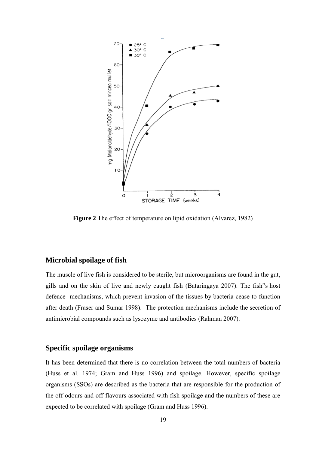

**Figure 2** The effect of temperature on lipid oxidation (Alvarez, 1982)

## **Microbial spoilage of fish**

The muscle of live fish is considered to be sterile, but microorganisms are found in the gut, gills and on the skin of live and newly caught fish (Bataringaya 2007). The fish"s host defence mechanisms, which prevent invasion of the tissues by bacteria cease to function after death (Fraser and Sumar 1998). The protection mechanisms include the secretion of antimicrobial compounds such as lysozyme and antibodies (Rahman 2007).

#### **Specific spoilage organisms**

It has been determined that there is no correlation between the total numbers of bacteria (Huss et al. 1974; Gram and Huss 1996) and spoilage. However, specific spoilage organisms (SSOs) are described as the bacteria that are responsible for the production of the off-odours and off-flavours associated with fish spoilage and the numbers of these are expected to be correlated with spoilage (Gram and Huss 1996).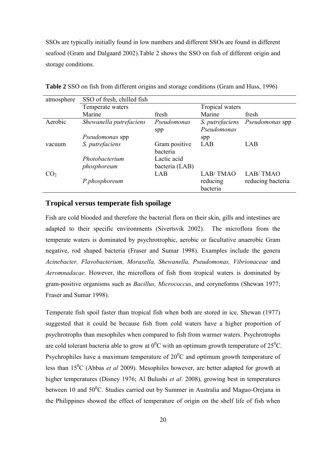SSOs are typically initially found in low numbers and different SSOs are found in different seafood (Gram and Dalgaard 2002).Table 2 shows the SSO on fish of different origin and storage conditions.

| atmosphere      | SSO of fresh, chilled fish |                |                 |                   |
|-----------------|----------------------------|----------------|-----------------|-------------------|
|                 | Temperate waters           |                | Tropical waters |                   |
|                 | Marine                     | fresh          | Marine          | fresh             |
| Aerobic         | Shewanella putrefaciens    | Pseudomonas    | S. putrefaciens | Pseudomonas spp   |
|                 |                            | spp            | Pseudomonas     |                   |
|                 | Pseudomonas spp            |                | spp             |                   |
| vacuum          | S. putrefaciens            | Gram positive  | LAB             | LAB               |
|                 |                            | bacteria       |                 |                   |
|                 | Photobacterium             | Lactic acid    |                 |                   |
|                 | phosphoreum                | bacteria (LAB) |                 |                   |
| CO <sub>2</sub> |                            | LAB            | LAB/TMAO        | LAB/TMAO          |
|                 | P.phosphoreum              |                | reducing        | reducing bacteria |
|                 |                            |                | bacteria        |                   |

**Table 2** SSO on fish from different origins and storage conditions (Gram and Huss, 1996)

#### **Tropical versus temperate fish spoilage**

Fish are cold blooded and therefore the bacterial flora on their skin, gills and intestines are adapted to their specific environments (Sivertsvik 2002). The microflora from the temperate waters is dominated by psychrotrophic, aerobic or facultative anaerobic Gram negative, rod shaped bacteria (Fraser and Sumar 1998). Examples include the genera *Acinebacter, Flavobacterium, Moraxella, Shewanella, Pseudomonas, Vibrionaceae* and *Aeromnadacae*. However, the microflora of fish from tropical waters is dominated by gram-positive organisms such as *Bacillus, Micrococcus*, and coryneforms (Shewan 1977; Fraser and Sumar 1998).

Temperate fish spoil faster than tropical fish when both are stored in ice. Shewan (1977) suggested that it could be because fish from cold waters have a higher proportion of psychrotrophs than mesophiles when compared to fish from warmer waters. Psychrotrophs are cold tolerant bacteria able to grow at  $0^0$ C with an optimum growth temperature of 25<sup>0</sup>C. Psychrophiles have a maximum temperature of  $20^0C$  and optimum growth temperature of less than 15<sup>0</sup>C (Abbas *et al* 2009). Mesophiles however, are better adapted for growth at higher temperatures (Disney 1976; Al Bulushi *et al*. 2008), growing best in temperatures between 10 and  $50^0$ C. Studies carried out by Summer in Australia and Maguo-Orejana in the Philippines showed the effect of temperature of origin on the shelf life of fish when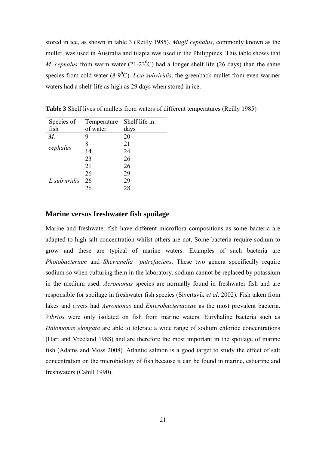stored in ice, as shown in table 3 (Reilly 1985). *Mugil cephalus*, commonly known as the mullet, was used in Australia and tilapia was used in the Philippines. This table shows that *M. cephalus* from warm water (21-23<sup>0</sup>C) had a longer shelf life (26 days) than the same species from cold water  $(8-9^0C)$ . *Liza subviridis*, the greenback mullet from even warmer waters had a shelf-life as high as 29 days when stored in ice.

| Species of   | Temperature | Shelf life in |
|--------------|-------------|---------------|
| fish         | of water    | days          |
| $M_{\cdot}$  | 9           | 20            |
|              | 8           | 21            |
| cephalus     | 14          | 24            |
|              | 23          | 26            |
|              | 21          | 26            |
|              | 26          | 29            |
| L.subviridis | 26          | 29            |
|              | 26          | 28            |

**Table 3** Shelf lives of mullets from waters of different temperatures (Reilly 1985)

### **Marine versus freshwater fish spoilage**

Marine and freshwater fish have different microflora compositions as some bacteria are adapted to high salt concentration whilst others are not. Some bacteria require sodium to grow and these are typical of marine waters. Examples of such bacteria are *Photobacterium* and *Shewanella putrefaciens*. These two genera specifically require sodium so when culturing them in the laboratory, sodium cannot be replaced by potassium in the medium used. *Aeromonas* species are normally found in freshwater fish and are responsible for spoilage in freshwater fish species (Sivertsvik *et al*. 2002). Fish taken from lakes and rivers had *Aeromonas* and *Enterobacteriaceae* as the most prevalent bacteria. *Vibrios* were only isolated on fish from marine waters. Euryhaline bacteria such as *Halomonas elongata* are able to tolerate a wide range of sodium chloride concentrations (Hart and Vreeland 1988) and are therefore the most important in the spoilage of marine fish (Adams and Moss 2008). Atlantic salmon is a good target to study the effect of salt concentration on the microbiology of fish because it can be found in marine, estuarine and freshwaters (Cahill 1990).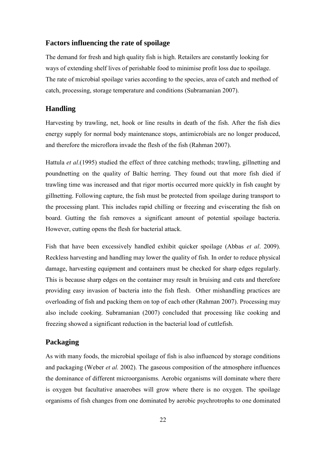## **Factors influencing the rate of spoilage**

The demand for fresh and high quality fish is high. Retailers are constantly looking for ways of extending shelf lives of perishable food to minimise profit loss due to spoilage. The rate of microbial spoilage varies according to the species, area of catch and method of catch, processing, storage temperature and conditions (Subramanian 2007).

## **Handling**

Harvesting by trawling, net, hook or line results in death of the fish. After the fish dies energy supply for normal body maintenance stops, antimicrobials are no longer produced, and therefore the microflora invade the flesh of the fish (Rahman 2007).

Hattula *et al*.(1995) studied the effect of three catching methods; trawling, gillnetting and poundnetting on the quality of Baltic herring. They found out that more fish died if trawling time was increased and that rigor mortis occurred more quickly in fish caught by gillnetting. Following capture, the fish must be protected from spoilage during transport to the processing plant. This includes rapid chilling or freezing and eviscerating the fish on board. Gutting the fish removes a significant amount of potential spoilage bacteria. However, cutting opens the flesh for bacterial attack.

Fish that have been excessively handled exhibit quicker spoilage (Abbas *et al*. 2009). Reckless harvesting and handling may lower the quality of fish. In order to reduce physical damage, harvesting equipment and containers must be checked for sharp edges regularly. This is because sharp edges on the container may result in bruising and cuts and therefore providing easy invasion of bacteria into the fish flesh. Other mishandling practices are overloading of fish and packing them on top of each other (Rahman 2007). Processing may also include cooking. Subramanian (2007) concluded that processing like cooking and freezing showed a significant reduction in the bacterial load of cuttlefish.

## **Packaging**

As with many foods, the microbial spoilage of fish is also influenced by storage conditions and packaging (Weber *et al.* 2002). The gaseous composition of the atmosphere influences the dominance of different microorganisms. Aerobic organisms will dominate where there is oxygen but facultative anaerobes will grow where there is no oxygen. The spoilage organisms of fish changes from one dominated by aerobic psychrotrophs to one dominated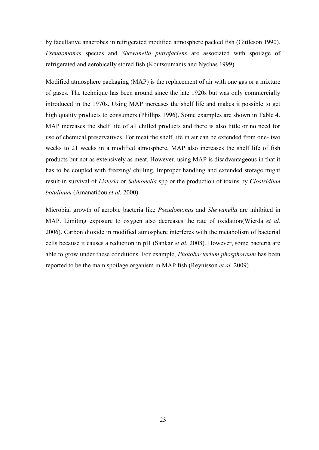by facultative anaerobes in refrigerated modified atmosphere packed fish (Gittleson 1990). *Pseudomonas* species and *Shewanella putrefaciens* are associated with spoilage of refrigerated and aerobically stored fish (Koutsoumanis and Nychas 1999).

Modified atmosphere packaging (MAP) is the replacement of air with one gas or a mixture of gases. The technique has been around since the late 1920s but was only commercially introduced in the 1970s. Using MAP increases the shelf life and makes it possible to get high quality products to consumers (Phillips 1996). Some examples are shown in Table 4. MAP increases the shelf life of all chilled products and there is also little or no need for use of chemical preservatives. For meat the shelf life in air can be extended from one- two weeks to 21 weeks in a modified atmosphere. MAP also increases the shelf life of fish products but not as extensively as meat. However, using MAP is disadvantageous in that it has to be coupled with freezing/ chilling. Improper handling and extended storage might result in survival of *Listeria* or *Salmonella* spp or the production of toxins by *Clostridium botulinum* (Amanatidou *et al.* 2000).

Microbial growth of aerobic bacteria like *Pseudomonas* and *Shewanella* are inhibited in MAP. Limiting exposure to oxygen also decreases the rate of oxidation(Wierda *et al.* 2006). Carbon dioxide in modified atmosphere interferes with the metabolism of bacterial cells because it causes a reduction in pH (Sankar *et al.* 2008). However, some bacteria are able to grow under these conditions. For example, *Photobacterium phosphoreum* has been reported to be the main spoilage organism in MAP fish (Reynisson *et al.* 2009).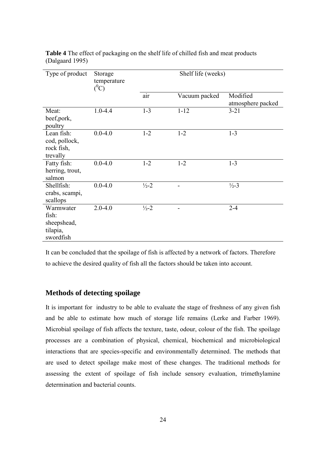| Type of product                                            | Storage<br>temperature<br>$(^0C)$ | Shelf life (weeks) |               |                               |
|------------------------------------------------------------|-----------------------------------|--------------------|---------------|-------------------------------|
|                                                            |                                   | air                | Vacuum packed | Modified<br>atmosphere packed |
| Meat:<br>beef, pork,<br>poultry                            | $1.0 - 4.4$                       | $1 - 3$            | $1 - 12$      | $3 - 21$                      |
| Lean fish:<br>cod, pollock,<br>rock fish,<br>trevally      | $0.0 - 4.0$                       | $1 - 2$            | $1 - 2$       | $1 - 3$                       |
| Fatty fish:<br>herring, trout,<br>salmon                   | $0.0 - 4.0$                       | $1 - 2$            | $1 - 2$       | $1 - 3$                       |
| Shellfish:<br>crabs, scampi,<br>scallops                   | $0.0 - 4.0$                       | $\frac{1}{2} - 2$  |               | $\frac{1}{2} - 3$             |
| Warmwater<br>fish:<br>sheepshead,<br>tilapia,<br>swordfish | $2.0 - 4.0$                       | $\frac{1}{2} - 2$  |               | $2 - 4$                       |

**Table 4** The effect of packaging on the shelf life of chilled fish and meat products (Dalgaard 1995)

It can be concluded that the spoilage of fish is affected by a network of factors. Therefore to achieve the desired quality of fish all the factors should be taken into account.

## **Methods of detecting spoilage**

It is important for industry to be able to evaluate the stage of freshness of any given fish and be able to estimate how much of storage life remains (Lerke and Farber 1969). Microbial spoilage of fish affects the texture, taste, odour, colour of the fish. The spoilage processes are a combination of physical, chemical, biochemical and microbiological interactions that are species-specific and environmentally determined. The methods that are used to detect spoilage make most of these changes. The traditional methods for assessing the extent of spoilage of fish include sensory evaluation, trimethylamine determination and bacterial counts.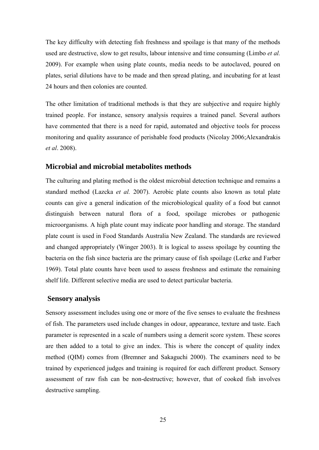The key difficulty with detecting fish freshness and spoilage is that many of the methods used are destructive, slow to get results, labour intensive and time consuming (Limbo *et al.* 2009). For example when using plate counts, media needs to be autoclaved, poured on plates, serial dilutions have to be made and then spread plating, and incubating for at least 24 hours and then colonies are counted.

The other limitation of traditional methods is that they are subjective and require highly trained people. For instance, sensory analysis requires a trained panel. Several authors have commented that there is a need for rapid, automated and objective tools for process monitoring and quality assurance of perishable food products (Nicolay 2006;Alexandrakis *et al*. 2008).

#### **Microbial and microbial metabolites methods**

The culturing and plating method is the oldest microbial detection technique and remains a standard method (Lazcka *et al.* 2007). Aerobic plate counts also known as total plate counts can give a general indication of the microbiological quality of a food but cannot distinguish between natural flora of a food, spoilage microbes or pathogenic microorganisms. A high plate count may indicate poor handling and storage. The standard plate count is used in Food Standards Australia New Zealand. The standards are reviewed and changed appropriately (Winger 2003). It is logical to assess spoilage by counting the bacteria on the fish since bacteria are the primary cause of fish spoilage (Lerke and Farber 1969). Total plate counts have been used to assess freshness and estimate the remaining shelf life. Different selective media are used to detect particular bacteria.

#### **Sensory analysis**

Sensory assessment includes using one or more of the five senses to evaluate the freshness of fish. The parameters used include changes in odour, appearance, texture and taste. Each parameter is represented in a scale of numbers using a demerit score system. These scores are then added to a total to give an index. This is where the concept of quality index method (QIM) comes from (Bremner and Sakaguchi 2000). The examiners need to be trained by experienced judges and training is required for each different product. Sensory assessment of raw fish can be non-destructive; however, that of cooked fish involves destructive sampling.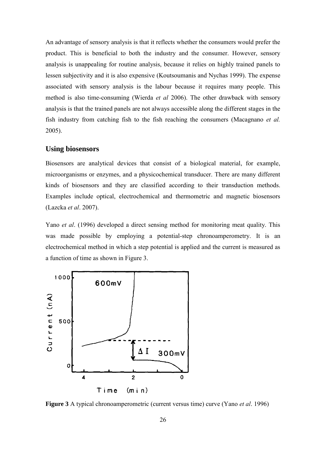An advantage of sensory analysis is that it reflects whether the consumers would prefer the product. This is beneficial to both the industry and the consumer. However, sensory analysis is unappealing for routine analysis, because it relies on highly trained panels to lessen subjectivity and it is also expensive (Koutsoumanis and Nychas 1999). The expense associated with sensory analysis is the labour because it requires many people. This method is also time-consuming (Wierda *et al* 2006). The other drawback with sensory analysis is that the trained panels are not always accessible along the different stages in the fish industry from catching fish to the fish reaching the consumers (Macagnano *et al.* 2005).

#### **Using biosensors**

Biosensors are analytical devices that consist of a biological material, for example, microorganisms or enzymes, and a physicochemical transducer. There are many different kinds of biosensors and they are classified according to their transduction methods. Examples include optical, electrochemical and thermometric and magnetic biosensors (Lazcka *et al*. 2007).

Yano *et al*. (1996) developed a direct sensing method for monitoring meat quality. This was made possible by employing a potential-step chronoamperometry. It is an electrochemical method in which a step potential is applied and the current is measured as a function of time as shown in Figure 3.



**Figure 3** A typical chronoamperometric (current versus time) curve (Yano *et al*. 1996)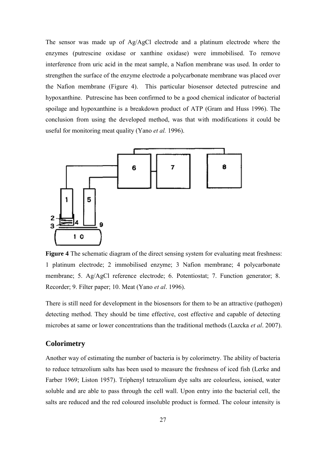The sensor was made up of Ag/AgCl electrode and a platinum electrode where the enzymes (putrescine oxidase or xanthine oxidase) were immobilised. To remove interference from uric acid in the meat sample, a Nafion membrane was used. In order to strengthen the surface of the enzyme electrode a polycarbonate membrane was placed over the Nafion membrane (Figure 4). This particular biosensor detected putrescine and hypoxanthine. Putrescine has been confirmed to be a good chemical indicator of bacterial spoilage and hypoxanthine is a breakdown product of ATP (Gram and Huss 1996). The conclusion from using the developed method, was that with modifications it could be useful for monitoring meat quality (Yano *et al.* 1996).



**Figure 4** The schematic diagram of the direct sensing system for evaluating meat freshness: 1 platinum electrode; 2 immobilised enzyme; 3 Nafion membrane; 4 polycarbonate membrane; 5. Ag/AgCl reference electrode; 6. Potentiostat; 7. Function generator; 8. Recorder; 9. Filter paper; 10. Meat (Yano *et al*. 1996).

There is still need for development in the biosensors for them to be an attractive (pathogen) detecting method. They should be time effective, cost effective and capable of detecting microbes at same or lower concentrations than the traditional methods (Lazcka *et al*. 2007).

#### **Colorimetry**

Another way of estimating the number of bacteria is by colorimetry. The ability of bacteria to reduce tetrazolium salts has been used to measure the freshness of iced fish (Lerke and Farber 1969; Liston 1957). Triphenyl tetrazolium dye salts are colourless, ionised, water soluble and are able to pass through the cell wall. Upon entry into the bacterial cell, the salts are reduced and the red coloured insoluble product is formed. The colour intensity is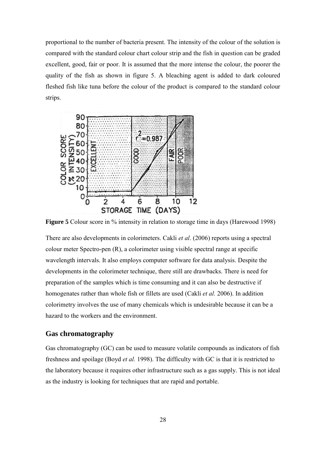proportional to the number of bacteria present. The intensity of the colour of the solution is compared with the standard colour chart colour strip and the fish in question can be graded excellent, good, fair or poor. It is assumed that the more intense the colour, the poorer the quality of the fish as shown in figure 5. A bleaching agent is added to dark coloured fleshed fish like tuna before the colour of the product is compared to the standard colour strips.



**Figure 5** Colour score in % intensity in relation to storage time in days (Harewood 1998)

There are also developments in colorimeters. Cakli *et al*. (2006) reports using a spectral colour meter Spectro-pen (R), a colorimeter using visible spectral range at specific wavelength intervals. It also employs computer software for data analysis. Despite the developments in the colorimeter technique, there still are drawbacks. There is need for preparation of the samples which is time consuming and it can also be destructive if homogenates rather than whole fish or fillets are used (Cakli *et al.* 2006). In addition colorimetry involves the use of many chemicals which is undesirable because it can be a hazard to the workers and the environment.

#### **Gas chromatography**

Gas chromatography (GC) can be used to measure volatile compounds as indicators of fish freshness and spoilage (Boyd *et al.* 1998). The difficulty with GC is that it is restricted to the laboratory because it requires other infrastructure such as a gas supply. This is not ideal as the industry is looking for techniques that are rapid and portable.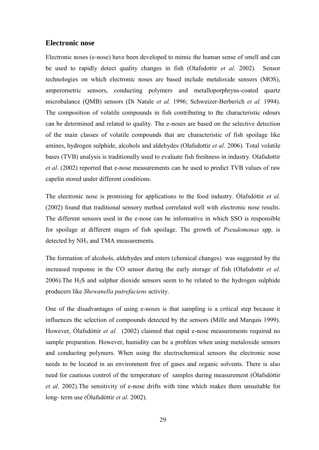#### **Electronic nose**

Electronic noses (e-nose) have been developed to mimic the human sense of smell and can be used to rapidly detect quality changes in fish (Olafsdottir *et al*. 2002). Sensor technologies on which electronic noses are based include metaloxide sensors (MOS), amperometric sensors, conducting polymers and metalloporphryns-coated quartz microbalance (QMB) sensors (Di Natale *et al.* 1996; Schweizer-Berberich *et al.* 1994). The composition of volatile compounds in fish contributing to the characteristic odours can be determined and related to quality. The e-noses are based on the selective detection of the main classes of volatile compounds that are characteristic of fish spoilage like amines, hydrogen sulphide, alcohols and aldehydes (Olafsdottir *et al*. 2006). Total volatile bases (TVB) analysis is traditionally used to evaluate fish freshness in industry. Olafsdottir *et al*. (2002) reported that e-nose measurements can be used to predict TVB values of raw capelin stored under different conditions.

The electronic nose is promising for applications to the food industry. Ólafsdóttir *et al.* (2002) found that traditional sensory method correlated well with electronic nose results. The different sensors used in the e-nose can be informative in which SSO is responsible for spoilage at different stages of fish spoilage. The growth of *Pseudomonas* spp. is detected by NH<sub>3</sub> and TMA measurements.

The formation of alcohols, aldehydes and esters (chemical changes) was suggested by the increased response in the CO sensor during the early storage of fish (Olafsdottir *et al.*  $2006$ ). The H<sub>2</sub>S and sulphur dioxide sensors seem to be related to the hydrogen sulphide producers like *Shewanella putrefaciens* activity.

One of the disadvantages of using e-noses is that sampling is a critical step because it influences the selection of compounds detected by the sensors (Mille and Marquis 1999). However, Ólafsdóttir et al. (2002) claimed that rapid e-nose measurements required no sample preparation. However, humidity can be a problem when using metaloxide sensors and conducting polymers. When using the electrochemical sensors the electronic nose needs to be located in an environment free of gases and organic solvents. There is also need for cautious control of the temperature of samples during measurement (Ólafsdóttir *et al.* 2002).The sensitivity of e-nose drifts with time which makes them unsuitable for long- term use (Ólafsdóttir *et al.* 2002).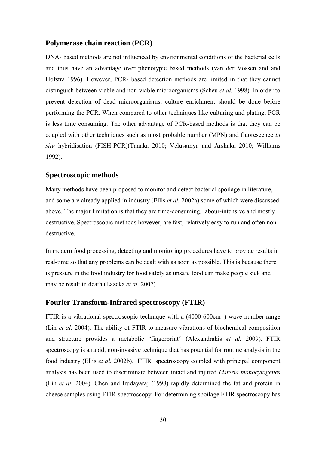#### **Polymerase chain reaction (PCR)**

DNA- based methods are not influenced by environmental conditions of the bacterial cells and thus have an advantage over phenotypic based methods (van der Vossen and and Hofstra 1996). However, PCR- based detection methods are limited in that they cannot distinguish between viable and non-viable microorganisms (Scheu *et al.* 1998). In order to prevent detection of dead microorganisms, culture enrichment should be done before performing the PCR. When compared to other techniques like culturing and plating, PCR is less time consuming. The other advantage of PCR-based methods is that they can be coupled with other techniques such as most probable number (MPN) and fluorescence *in situ* hybridisation (FISH-PCR)(Tanaka 2010; Velusamya and Arshaka 2010; Williams 1992).

## **Spectroscopic methods**

Many methods have been proposed to monitor and detect bacterial spoilage in literature, and some are already applied in industry (Ellis *et al.* 2002a) some of which were discussed above. The major limitation is that they are time-consuming, labour-intensive and mostly destructive. Spectroscopic methods however, are fast, relatively easy to run and often non destructive.

In modern food processing, detecting and monitoring procedures have to provide results in real-time so that any problems can be dealt with as soon as possible. This is because there is pressure in the food industry for food safety as unsafe food can make people sick and may be result in death (Lazcka *et al*. 2007).

#### **Fourier Transform-Infrared spectroscopy (FTIR)**

FTIR is a vibrational spectroscopic technique with a  $(4000-600 \text{cm}^{-1})$  wave number range (Lin *et al.* 2004). The ability of FTIR to measure vibrations of biochemical composition and structure provides a metabolic "fingerprint" (Alexandrakis *et al.* 2009). FTIR spectroscopy is a rapid, non-invasive technique that has potential for routine analysis in the food industry (Ellis *et al.* 2002b). FTIR spectroscopy coupled with principal component analysis has been used to discriminate between intact and injured *Listeria monocytogenes*  (Lin *et al.* 2004). Chen and Irudayaraj (1998) rapidly determined the fat and protein in cheese samples using FTIR spectroscopy. For determining spoilage FTIR spectroscopy has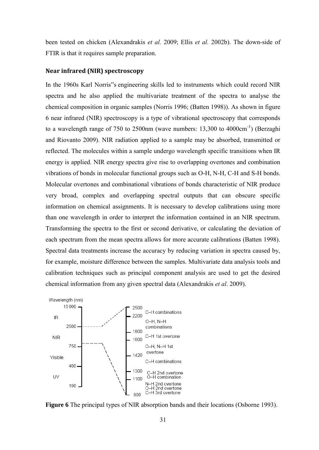been tested on chicken (Alexandrakis *et al.* 2009; Ellis *et al.* 2002b). The down-side of FTIR is that it requires sample preparation.

#### **Near infrared (NIR) spectroscopy**

In the 1960s Karl Norris"s engineering skills led to instruments which could record NIR spectra and he also applied the multivariate treatment of the spectra to analyse the chemical composition in organic samples (Norris 1996; (Batten 1998)). As shown in figure 6 near infrared (NIR) spectroscopy is a type of vibrational spectroscopy that corresponds to a wavelength range of 750 to 2500nm (wave numbers: 13,300 to 4000cm<sup>-1</sup>) (Berzaghi and Riovanto 2009). NIR radiation applied to a sample may be absorbed, transmitted or reflected. The molecules within a sample undergo wavelength specific transitions when IR energy is applied. NIR energy spectra give rise to overlapping overtones and combination vibrations of bonds in molecular functional groups such as O-H, N-H, C-H and S-H bonds. Molecular overtones and combinational vibrations of bonds characteristic of NIR produce very broad, complex and overlapping spectral outputs that can obscure specific information on chemical assignments. It is necessary to develop calibrations using more than one wavelength in order to interpret the information contained in an NIR spectrum. Transforming the spectra to the first or second derivative, or calculating the deviation of each spectrum from the mean spectra allows for more accurate calibrations (Batten 1998). Spectral data treatments increase the accuracy by reducing variation in spectra caused by, for example, moisture difference between the samples. Multivariate data analysis tools and calibration techniques such as principal component analysis are used to get the desired chemical information from any given spectral data (Alexandrakis *et al*. 2009).



**Figure 6** The principal types of NIR absorption bands and their locations (Osborne 1993).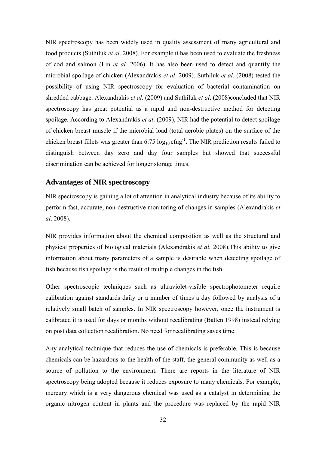NIR spectroscopy has been widely used in quality assessment of many agricultural and food products (Suthiluk *et al*. 2008). For example it has been used to evaluate the freshness of cod and salmon (Lin *et al.* 2006). It has also been used to detect and quantify the microbial spoilage of chicken (Alexandrakis *et al*. 2009). Suthiluk *et al*. (2008) tested the possibility of using NIR spectroscopy for evaluation of bacterial contamination on shredded cabbage. Alexandrakis *et al*. (2009) and Suthiluk *et al*. (2008)concluded that NIR spectroscopy has great potential as a rapid and non-destructive method for detecting spoilage. According to Alexandrakis *et al*. (2009), NIR had the potential to detect spoilage of chicken breast muscle if the microbial load (total aerobic plates) on the surface of the chicken breast fillets was greater than  $6.75 \log_{10} c \log^{-1}$ . The NIR prediction results failed to distinguish between day zero and day four samples but showed that successful discrimination can be achieved for longer storage times.

#### **Advantages of NIR spectroscopy**

NIR spectroscopy is gaining a lot of attention in analytical industry because of its ability to perform fast, accurate, non-destructive monitoring of changes in samples (Alexandrakis *et al*. 2008).

NIR provides information about the chemical composition as well as the structural and physical properties of biological materials (Alexandrakis *et al.* 2008).This ability to give information about many parameters of a sample is desirable when detecting spoilage of fish because fish spoilage is the result of multiple changes in the fish.

Other spectroscopic techniques such as ultraviolet-visible spectrophotometer require calibration against standards daily or a number of times a day followed by analysis of a relatively small batch of samples. In NIR spectroscopy however, once the instrument is calibrated it is used for days or months without recalibrating (Batten 1998) instead relying on post data collection recalibration. No need for recalibrating saves time.

Any analytical technique that reduces the use of chemicals is preferable. This is because chemicals can be hazardous to the health of the staff, the general community as well as a source of pollution to the environment. There are reports in the literature of NIR spectroscopy being adopted because it reduces exposure to many chemicals. For example, mercury which is a very dangerous chemical was used as a catalyst in determining the organic nitrogen content in plants and the procedure was replaced by the rapid NIR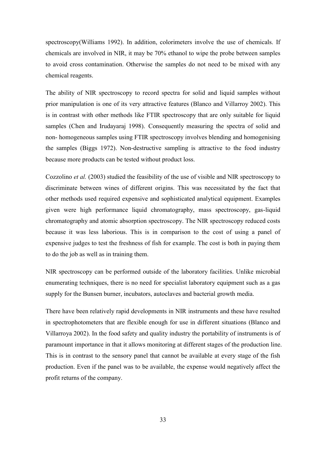spectroscopy(Williams 1992). In addition, colorimeters involve the use of chemicals. If chemicals are involved in NIR, it may be 70% ethanol to wipe the probe between samples to avoid cross contamination. Otherwise the samples do not need to be mixed with any chemical reagents.

The ability of NIR spectroscopy to record spectra for solid and liquid samples without prior manipulation is one of its very attractive features (Blanco and Villarroy 2002). This is in contrast with other methods like FTIR spectroscopy that are only suitable for liquid samples (Chen and Irudayaraj 1998). Consequently measuring the spectra of solid and non- homogeneous samples using FTIR spectroscopy involves blending and homogenising the samples (Biggs 1972). Non-destructive sampling is attractive to the food industry because more products can be tested without product loss.

Cozzolino *et al.* (2003) studied the feasibility of the use of visible and NIR spectroscopy to discriminate between wines of different origins. This was necessitated by the fact that other methods used required expensive and sophisticated analytical equipment. Examples given were high performance liquid chromatography, mass spectroscopy, gas-liquid chromatography and atomic absorption spectroscopy. The NIR spectroscopy reduced costs because it was less laborious. This is in comparison to the cost of using a panel of expensive judges to test the freshness of fish for example. The cost is both in paying them to do the job as well as in training them.

NIR spectroscopy can be performed outside of the laboratory facilities. Unlike microbial enumerating techniques, there is no need for specialist laboratory equipment such as a gas supply for the Bunsen burner, incubators, autoclaves and bacterial growth media.

There have been relatively rapid developments in NIR instruments and these have resulted in spectrophotometers that are flexible enough for use in different situations (Blanco and Villarroya 2002). In the food safety and quality industry the portability of instruments is of paramount importance in that it allows monitoring at different stages of the production line. This is in contrast to the sensory panel that cannot be available at every stage of the fish production. Even if the panel was to be available, the expense would negatively affect the profit returns of the company.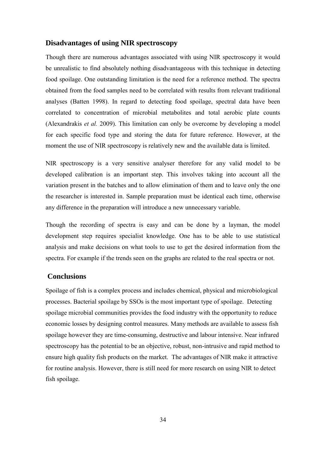### **Disadvantages of using NIR spectroscopy**

Though there are numerous advantages associated with using NIR spectroscopy it would be unrealistic to find absolutely nothing disadvantageous with this technique in detecting food spoilage. One outstanding limitation is the need for a reference method. The spectra obtained from the food samples need to be correlated with results from relevant traditional analyses (Batten 1998). In regard to detecting food spoilage, spectral data have been correlated to concentration of microbial metabolites and total aerobic plate counts (Alexandrakis *et al.* 2009). This limitation can only be overcome by developing a model for each specific food type and storing the data for future reference. However, at the moment the use of NIR spectroscopy is relatively new and the available data is limited.

NIR spectroscopy is a very sensitive analyser therefore for any valid model to be developed calibration is an important step. This involves taking into account all the variation present in the batches and to allow elimination of them and to leave only the one the researcher is interested in. Sample preparation must be identical each time, otherwise any difference in the preparation will introduce a new unnecessary variable.

Though the recording of spectra is easy and can be done by a layman, the model development step requires specialist knowledge. One has to be able to use statistical analysis and make decisions on what tools to use to get the desired information from the spectra. For example if the trends seen on the graphs are related to the real spectra or not.

### **Conclusions**

Spoilage of fish is a complex process and includes chemical, physical and microbiological processes. Bacterial spoilage by SSOs is the most important type of spoilage. Detecting spoilage microbial communities provides the food industry with the opportunity to reduce economic losses by designing control measures. Many methods are available to assess fish spoilage however they are time-consuming, destructive and labour intensive. Near infrared spectroscopy has the potential to be an objective, robust, non-intrusive and rapid method to ensure high quality fish products on the market. The advantages of NIR make it attractive for routine analysis. However, there is still need for more research on using NIR to detect fish spoilage.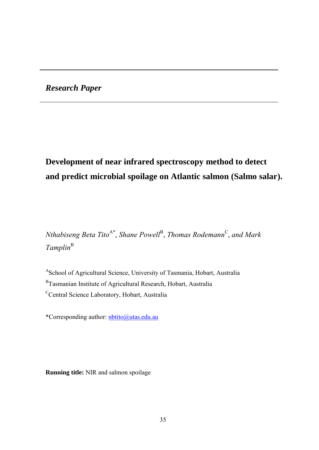*Research Paper* 

# **Development of near infrared spectroscopy method to detect and predict microbial spoilage on Atlantic salmon (Salmo salar).**

 $N$ thabiseng Beta Tito<sup>A\*</sup>, Shane Powell<sup>B</sup>, Thomas Rodemann<sup>C</sup>, and Mark  $Tamplin<sup>B</sup>$ 

<sup>A</sup>School of Agricultural Science, University of Tasmania, Hobart, Australia <sup>B</sup>Tasmanian Institute of Agricultural Research, Hobart, Australia <sup>C</sup>Central Science Laboratory, Hobart, Australia

\*Corresponding author: [nbtito@utas.edu.au](mailto:nbtito@utas.edu.au)

**Running title:** NIR and salmon spoilage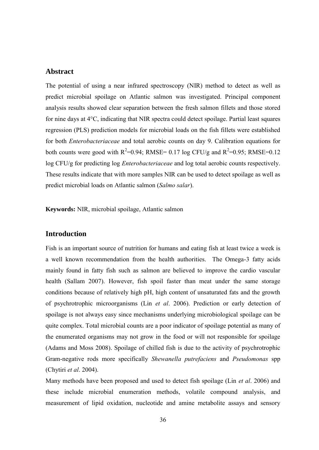#### **Abstract**

The potential of using a near infrared spectroscopy (NIR) method to detect as well as predict microbial spoilage on Atlantic salmon was investigated. Principal component analysis results showed clear separation between the fresh salmon fillets and those stored for nine days at 4°C, indicating that NIR spectra could detect spoilage. Partial least squares regression (PLS) prediction models for microbial loads on the fish fillets were established for both *Enterobacteriaceae* and total aerobic counts on day 9. Calibration equations for both counts were good with  $R^2$ =0.94; RMSE= 0.17 log CFU/g and  $R^2$ =0.95; RMSE=0.12 log CFU/g for predicting log *Enterobacteriaceae* and log total aerobic counts respectively. These results indicate that with more samples NIR can be used to detect spoilage as well as predict microbial loads on Atlantic salmon (*Salmo salar*).

**Keywords:** NIR, microbial spoilage, Atlantic salmon

## **Introduction**

Fish is an important source of nutrition for humans and eating fish at least twice a week is a well known recommendation from the health authorities. The Omega-3 fatty acids mainly found in fatty fish such as salmon are believed to improve the cardio vascular health (Sallam 2007). However, fish spoil faster than meat under the same storage conditions because of relatively high pH, high content of unsaturated fats and the growth of psychrotrophic microorganisms (Lin *et al*. 2006). Prediction or early detection of spoilage is not always easy since mechanisms underlying microbiological spoilage can be quite complex. Total microbial counts are a poor indicator of spoilage potential as many of the enumerated organisms may not grow in the food or will not responsible for spoilage (Adams and Moss 2008). Spoilage of chilled fish is due to the activity of psychrotrophic Gram-negative rods more specifically *Shewanella putrefaciens* and *Pseudomonas* spp (Chytiri *et al*. 2004).

Many methods have been proposed and used to detect fish spoilage (Lin *et al*. 2006) and these include microbial enumeration methods, volatile compound analysis, and measurement of lipid oxidation, nucleotide and amine metabolite assays and sensory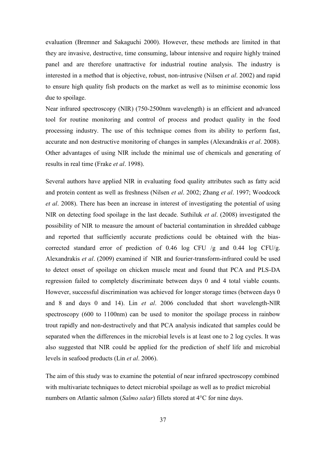evaluation (Bremner and Sakaguchi 2000). However, these methods are limited in that they are invasive, destructive, time consuming, labour intensive and require highly trained panel and are therefore unattractive for industrial routine analysis. The industry is interested in a method that is objective, robust, non-intrusive (Nilsen *et al*. 2002) and rapid to ensure high quality fish products on the market as well as to minimise economic loss due to spoilage.

Near infrared spectroscopy (NIR) (750-2500nm wavelength) is an efficient and advanced tool for routine monitoring and control of process and product quality in the food processing industry. The use of this technique comes from its ability to perform fast, accurate and non destructive monitoring of changes in samples (Alexandrakis *et al*. 2008). Other advantages of using NIR include the minimal use of chemicals and generating of results in real time (Frake *et al*. 1998).

Several authors have applied NIR in evaluating food quality attributes such as fatty acid and protein content as well as freshness (Nilsen *et al*. 2002; Zhang *et al*. 1997; Woodcock *et al*. 2008). There has been an increase in interest of investigating the potential of using NIR on detecting food spoilage in the last decade. Suthiluk *et al*. (2008) investigated the possibility of NIR to measure the amount of bacterial contamination in shredded cabbage and reported that sufficiently accurate predictions could be obtained with the biascorrected standard error of prediction of 0.46 log CFU /g and 0.44 log CFU/g. Alexandrakis *et al*. (2009) examined if NIR and fourier-transform-infrared could be used to detect onset of spoilage on chicken muscle meat and found that PCA and PLS-DA regression failed to completely discriminate between days 0 and 4 total viable counts. However, successful discrimination was achieved for longer storage times (between days 0 and 8 and days 0 and 14). Lin *et al*. 2006 concluded that short wavelength-NIR spectroscopy (600 to 1100nm) can be used to monitor the spoilage process in rainbow trout rapidly and non-destructively and that PCA analysis indicated that samples could be separated when the differences in the microbial levels is at least one to 2 log cycles. It was also suggested that NIR could be applied for the prediction of shelf life and microbial levels in seafood products (Lin *et al*. 2006).

The aim of this study was to examine the potential of near infrared spectroscopy combined with multivariate techniques to detect microbial spoilage as well as to predict microbial numbers on Atlantic salmon (*Salmo salar*) fillets stored at 4°C for nine days.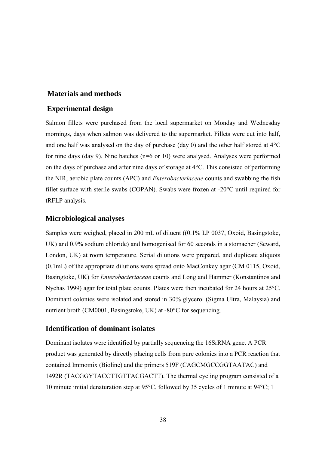#### **Materials and methods**

## **Experimental design**

Salmon fillets were purchased from the local supermarket on Monday and Wednesday mornings, days when salmon was delivered to the supermarket. Fillets were cut into half, and one half was analysed on the day of purchase (day 0) and the other half stored at 4°C for nine days (day 9). Nine batches (n=6 or 10) were analysed. Analyses were performed on the days of purchase and after nine days of storage at 4°C. This consisted of performing the NIR, aerobic plate counts (APC) and *Enterobacteriaceae* counts and swabbing the fish fillet surface with sterile swabs (COPAN). Swabs were frozen at -20°C until required for tRFLP analysis.

#### **Microbiological analyses**

Samples were weighed, placed in 200 mL of diluent ((0.1% LP 0037, Oxoid, Basingstoke, UK) and 0.9% sodium chloride) and homogenised for 60 seconds in a stomacher (Seward, London, UK) at room temperature. Serial dilutions were prepared, and duplicate aliquots (0.1mL) of the appropriate dilutions were spread onto MacConkey agar (CM 0115, Oxoid, Basingtoke, UK) for *Enterobacteriaceae* counts and Long and Hammer (Konstantinos and Nychas 1999) agar for total plate counts. Plates were then incubated for 24 hours at 25°C. Dominant colonies were isolated and stored in 30% glycerol (Sigma Ultra, Malaysia) and nutrient broth (CM0001, Basingstoke, UK) at -80°C for sequencing.

## **Identification of dominant isolates**

Dominant isolates were identified by partially sequencing the 16SrRNA gene. A PCR product was generated by directly placing cells from pure colonies into a PCR reaction that contained Immomix (Bioline) and the primers 519F (CAGCMGCCGGTAATAC) and 1492R (TACGGYTACCTTGTTACGACTT). The thermal cycling program consisted of a 10 minute initial denaturation step at 95°C, followed by 35 cycles of 1 minute at 94°C; 1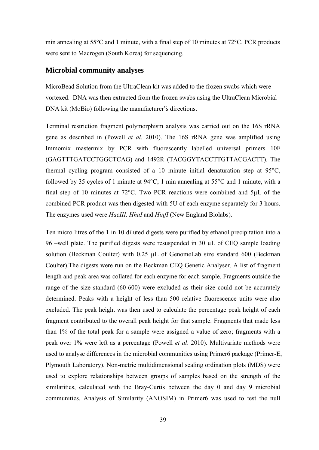min annealing at 55°C and 1 minute, with a final step of 10 minutes at 72°C. PCR products were sent to Macrogen (South Korea) for sequencing.

#### **Microbial community analyses**

MicroBead Solution from the UltraClean kit was added to the frozen swabs which were vortexed. DNA was then extracted from the frozen swabs using the UltraClean Microbial DNA kit (MoBio) following the manufacturer"s directions.

Terminal restriction fragment polymorphism analysis was carried out on the 16S rRNA gene as described in (Powell *et al*. 2010). The 16S rRNA gene was amplified using Immomix mastermix by PCR with fluorescently labelled universal primers 10F (GAGTTTGATCCTGGCTCAG) and 1492R (TACGGYTACCTTGTTACGACTT). The thermal cycling program consisted of a 10 minute initial denaturation step at 95°C, followed by 35 cycles of 1 minute at 94°C; 1 min annealing at 55°C and 1 minute, with a final step of 10 minutes at 72°C. Two PCR reactions were combined and 5µL of the combined PCR product was then digested with 5U of each enzyme separately for 3 hours. The enzymes used were *HaeIII, HhaI* and *HinfI* (New England Biolabs).

Ten micro litres of the 1 in 10 diluted digests were purified by ethanol precipitation into a 96 –well plate. The purified digests were resuspended in 30 µL of CEQ sample loading solution (Beckman Coulter) with 0.25 µL of GenomeLab size standard 600 (Beckman Coulter).The digests were run on the Beckman CEQ Genetic Analyser. A list of fragment length and peak area was collated for each enzyme for each sample. Fragments outside the range of the size standard (60-600) were excluded as their size could not be accurately determined. Peaks with a height of less than 500 relative fluorescence units were also excluded. The peak height was then used to calculate the percentage peak height of each fragment contributed to the overall peak height for that sample. Fragments that made less than 1% of the total peak for a sample were assigned a value of zero; fragments with a peak over 1% were left as a percentage (Powell *et al*. 2010). Multivariate methods were used to analyse differences in the microbial communities using Primer6 package (Primer-E, Plymouth Laboratory). Non-metric multidimensional scaling ordination plots (MDS) were used to explore relationships between groups of samples based on the strength of the similarities, calculated with the Bray-Curtis between the day 0 and day 9 microbial communities. Analysis of Similarity (ANOSIM) in Primer6 was used to test the null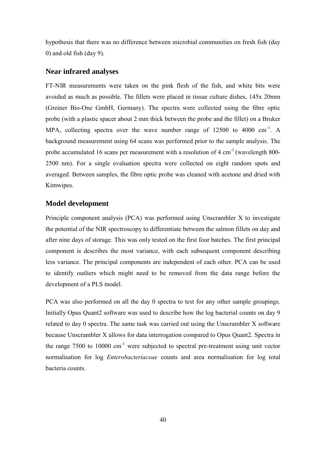hypothesis that there was no difference between microbial communities on fresh fish (day 0) and old fish (day 9).

#### **Near infrared analyses**

FT-NIR measurements were taken on the pink flesh of the fish, and white bits were avoided as much as possible. The fillets were placed in tissue culture dishes, 145x 20mm (Greiner Bio-One GmbH, Germany). The spectra were collected using the fibre optic probe (with a plastic spacer about 2 mm thick between the probe and the fillet) on a Bruker MPA, collecting spectra over the wave number range of  $12500$  to  $4000 \text{ cm}^{-1}$ . A background measurement using 64 scans was performed prior to the sample analysis. The probe accumulated 16 scans per measurement with a resolution of 4 cm<sup>-1</sup> (wavelength 800-2500 nm). For a single evaluation spectra were collected on eight random spots and averaged. Between samples, the fibre optic probe was cleaned with acetone and dried with Kimwipes.

#### **Model development**

Principle component analysis (PCA) was performed using Unscrambler X to investigate the potential of the NIR spectroscopy to differentiate between the salmon fillets on day and after nine days of storage. This was only tested on the first four batches. The first principal component is describes the most variance, with each subsequent component describing less variance. The principal components are independent of each other. PCA can be used to identify outliers which might need to be removed from the data range before the development of a PLS model.

PCA was also performed on all the day 0 spectra to test for any other sample groupings. Initially Opus Quant2 software was used to describe how the log bacterial counts on day 9 related to day 0 spectra. The same task was carried out using the Unscrambler X software because Unscrambler X allows for data interrogation compared to Opus Quant2. Spectra in the range  $7500$  to  $10000 \text{ cm}^{-1}$  were subjected to spectral pre-treatment using unit vector normalisation for log *Enterobacteriaceae* counts and area normalisation for log total bacteria counts.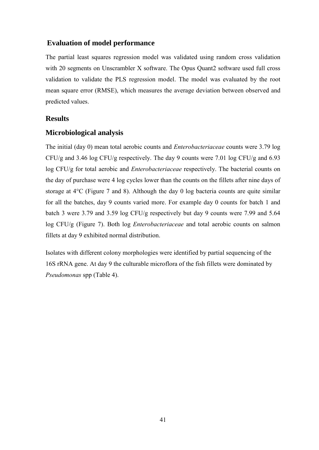## **Evaluation of model performance**

The partial least squares regression model was validated using random cross validation with 20 segments on Unscrambler X software. The Opus Quant2 software used full cross validation to validate the PLS regression model. The model was evaluated by the root mean square error (RMSE), which measures the average deviation between observed and predicted values.

#### **Results**

#### **Microbiological analysis**

The initial (day 0) mean total aerobic counts and *Enterobacteriaceae* counts were 3.79 log CFU/g and 3.46 log CFU/g respectively. The day 9 counts were 7.01 log CFU/g and 6.93 log CFU/g for total aerobic and *Enterobacteriaceae* respectively. The bacterial counts on the day of purchase were 4 log cycles lower than the counts on the fillets after nine days of storage at 4°C (Figure 7 and 8). Although the day 0 log bacteria counts are quite similar for all the batches, day 9 counts varied more. For example day 0 counts for batch 1 and batch 3 were 3.79 and 3.59 log CFU/g respectively but day 9 counts were 7.99 and 5.64 log CFU/g (Figure 7). Both log *Enterobacteriaceae* and total aerobic counts on salmon fillets at day 9 exhibited normal distribution.

Isolates with different colony morphologies were identified by partial sequencing of the 16S rRNA gene. At day 9 the culturable microflora of the fish fillets were dominated by *Pseudomonas* spp (Table 4).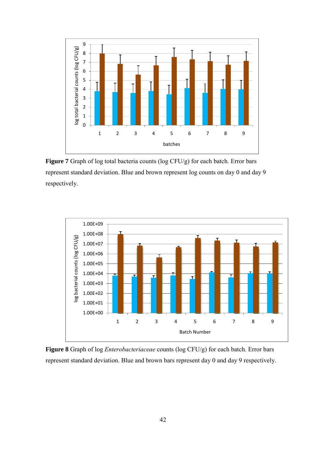

**Figure 7** Graph of log total bacteria counts (log CFU/g) for each batch. Error bars represent standard deviation. Blue and brown represent log counts on day 0 and day 9 respectively.



**Figure 8** Graph of log *Enterobacteriaceae* counts (log CFU/g) for each batch. Error bars represent standard deviation. Blue and brown bars represent day 0 and day 9 respectively.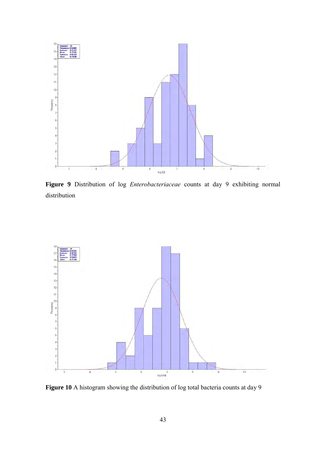

**Figure 9** Distribution of log *Enterobacteriaceae* counts at day 9 exhibiting normal distribution



**Figure 10** A histogram showing the distribution of log total bacteria counts at day 9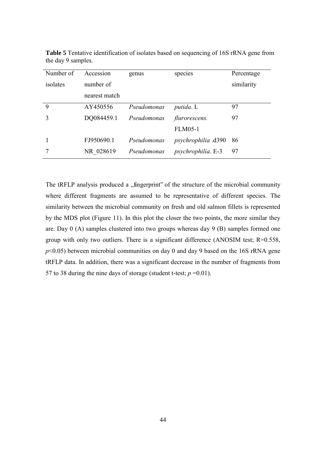| Number of | Accession     | genus       | species                   | Percentage |
|-----------|---------------|-------------|---------------------------|------------|
| isolates  | number of     |             |                           | similarity |
|           | nearest match |             |                           |            |
| 9         | AY450556      | Pseudomonas | <i>putida</i> . L         | 97         |
|           | DQ084459.1    | Pseudomonas | <i>flurorescens.</i>      | 97         |
|           |               |             | <b>FLM05-1</b>            |            |
|           | FJ950690.1    | Pseudomonas | psychrophilia .d390       | 86         |
|           | NR 028619     | Pseudomonas | <i>psychrophilia.</i> E-3 | 97         |

**Table 5** Tentative identification of isolates based on sequencing of 16S rRNA gene from the day 9 samples.

The tRFLP analysis produced a "fingerprint" of the structure of the microbial community where different fragments are assumed to be representative of different species. The similarity between the microbial community on fresh and old salmon fillets is represented by the MDS plot (Figure 11). In this plot the closer the two points, the more similar they are. Day 0 (A) samples clustered into two groups whereas day 9 (B) samples formed one group with only two outliers. There is a significant difference (ANOSIM test; R=0.558, *p*<0.05) between microbial communities on day 0 and day 9 based on the 16S rRNA gene tRFLP data. In addition, there was a significant decrease in the number of fragments from 57 to 38 during the nine days of storage (student t-test;  $p = 0.01$ ).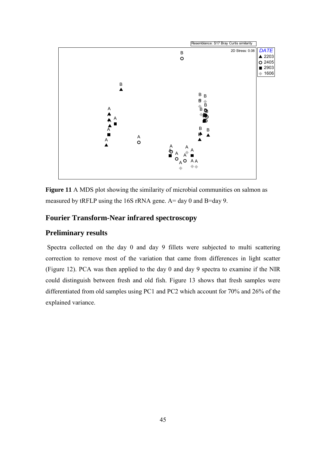

**Figure 11** A MDS plot showing the similarity of microbial communities on salmon as measured by tRFLP using the 16S rRNA gene. A= day 0 and B=day 9.

## **Fourier Transform-Near infrared spectroscopy**

### **Preliminary results**

Spectra collected on the day 0 and day 9 fillets were subjected to multi scattering correction to remove most of the variation that came from differences in light scatter (Figure 12). PCA was then applied to the day 0 and day 9 spectra to examine if the NIR could distinguish between fresh and old fish. Figure 13 shows that fresh samples were differentiated from old samples using PC1 and PC2 which account for 70% and 26% of the explained variance.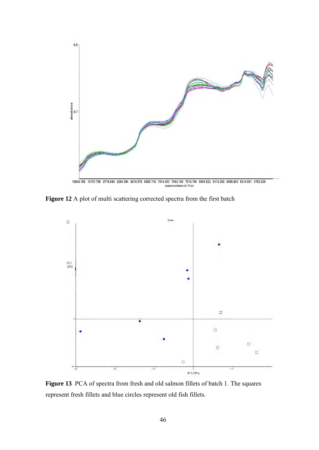

Figure 12 A plot of multi scattering corrected spectra from the first batch



**Figure 13** PCA of spectra from fresh and old salmon fillets of batch 1. The squares represent fresh fillets and blue circles represent old fish fillets.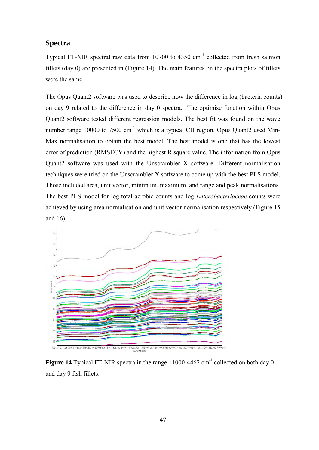## **Spectra**

Typical FT-NIR spectral raw data from  $10700$  to  $4350 \text{ cm}^{-1}$  collected from fresh salmon fillets (day 0) are presented in (Figure 14). The main features on the spectra plots of fillets were the same.

The Opus Quant2 software was used to describe how the difference in log (bacteria counts) on day 9 related to the difference in day 0 spectra. The optimise function within Opus Quant2 software tested different regression models. The best fit was found on the wave number range 10000 to 7500 cm<sup>-1</sup> which is a typical CH region. Opus Ouant2 used Min-Max normalisation to obtain the best model. The best model is one that has the lowest error of prediction (RMSECV) and the highest R square value. The information from Opus Quant2 software was used with the Unscrambler X software. Different normalisation techniques were tried on the Unscrambler X software to come up with the best PLS model. Those included area, unit vector, minimum, maximum, and range and peak normalisations. The best PLS model for log total aerobic counts and log *Enterobacteriaceae* counts were achieved by using area normalisation and unit vector normalisation respectively (Figure 15 and 16).



Figure 14 Typical FT-NIR spectra in the range 11000-4462 cm<sup>-1</sup> collected on both day 0 and day 9 fish fillets.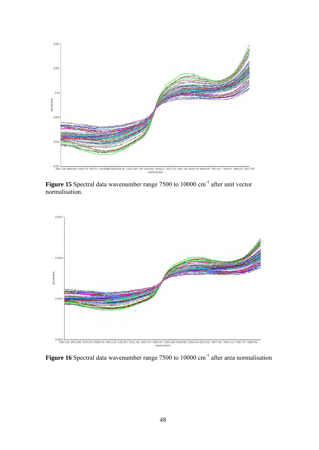

Figure 15 Spectral data wavenumber range 7500 to 10000 cm<sup>-1</sup> after unit vector normalisation.



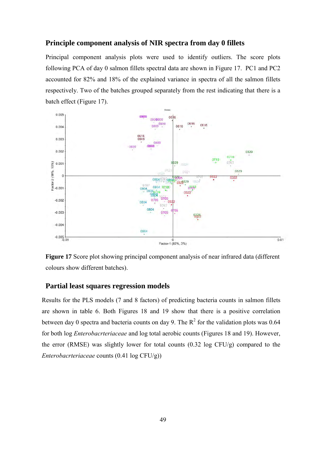## **Principle component analysis of NIR spectra from day 0 fillets**

Principal component analysis plots were used to identify outliers. The score plots following PCA of day 0 salmon fillets spectral data are shown in Figure 17. PC1 and PC2 accounted for 82% and 18% of the explained variance in spectra of all the salmon fillets respectively. Two of the batches grouped separately from the rest indicating that there is a batch effect (Figure 17).



**Figure 17** Score plot showing principal component analysis of near infrared data (different colours show different batches).

#### **Partial least squares regression models**

Results for the PLS models (7 and 8 factors) of predicting bacteria counts in salmon fillets are shown in table 6. Both Figures 18 and 19 show that there is a positive correlation between day 0 spectra and bacteria counts on day 9. The  $R^2$  for the validation plots was 0.64 for both log *Enterobacrteriaceae* and log total aerobic counts (Figures 18 and 19). However, the error (RMSE) was slightly lower for total counts (0.32 log CFU/g) compared to the *Enterobacrteriaceae* counts (0.41 log CFU/g))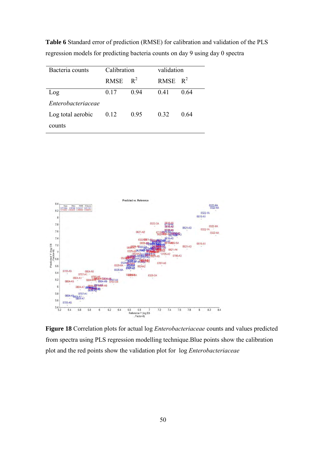**Table 6** Standard error of prediction (RMSE) for calibration and validation of the PLS regression models for predicting bacteria counts on day 9 using day 0 spectra

| Bacteria counts    | Calibration |       | validation |      |
|--------------------|-------------|-------|------------|------|
|                    | <b>RMSE</b> | $R^2$ | RMSE $R^2$ |      |
| Log                | 0.17        | 0.94  | 0.41       | 0.64 |
| Enterobacteriaceae |             |       |            |      |
| Log total aerobic  | 0.12        | 0.95  | 0.32       | 0.64 |
| counts             |             |       |            |      |



**Figure 18** Correlation plots for actual log *Enterobacteriaceae* counts and values predicted from spectra using PLS regression modelling technique.Blue points show the calibration plot and the red points show the validation plot for log *Enterobacteriaceae*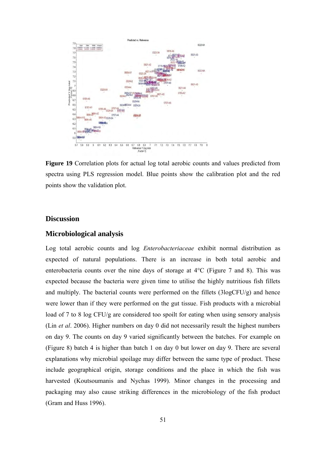

**Figure 19** Correlation plots for actual log total aerobic counts and values predicted from spectra using PLS regression model. Blue points show the calibration plot and the red points show the validation plot.

#### **Discussion**

#### **Microbiological analysis**

Log total aerobic counts and log *Enterobacteriaceae* exhibit normal distribution as expected of natural populations. There is an increase in both total aerobic and enterobacteria counts over the nine days of storage at 4°C (Figure 7 and 8). This was expected because the bacteria were given time to utilise the highly nutritious fish fillets and multiply. The bacterial counts were performed on the fillets  $(3logCFU/g)$  and hence were lower than if they were performed on the gut tissue. Fish products with a microbial load of 7 to 8 log CFU/g are considered too spoilt for eating when using sensory analysis (Lin *et al*. 2006). Higher numbers on day 0 did not necessarily result the highest numbers on day 9. The counts on day 9 varied significantly between the batches. For example on (Figure 8) batch 4 is higher than batch 1 on day 0 but lower on day 9. There are several explanations why microbial spoilage may differ between the same type of product. These include geographical origin, storage conditions and the place in which the fish was harvested (Koutsoumanis and Nychas 1999). Minor changes in the processing and packaging may also cause striking differences in the microbiology of the fish product (Gram and Huss 1996).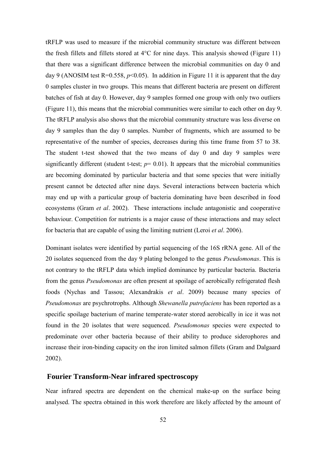tRFLP was used to measure if the microbial community structure was different between the fresh fillets and fillets stored at 4°C for nine days. This analysis showed (Figure 11) that there was a significant difference between the microbial communities on day 0 and day 9 (ANOSIM test R=0.558,  $p<0.05$ ). In addition in Figure 11 it is apparent that the day 0 samples cluster in two groups. This means that different bacteria are present on different batches of fish at day 0. However, day 9 samples formed one group with only two outliers (Figure 11), this means that the microbial communities were similar to each other on day 9. The tRFLP analysis also shows that the microbial community structure was less diverse on day 9 samples than the day 0 samples. Number of fragments, which are assumed to be representative of the number of species, decreases during this time frame from 57 to 38. The student t-test showed that the two means of day 0 and day 9 samples were significantly different (student t-test;  $p=0.01$ ). It appears that the microbial communities are becoming dominated by particular bacteria and that some species that were initially present cannot be detected after nine days. Several interactions between bacteria which may end up with a particular group of bacteria dominating have been described in food ecosystems (Gram *et al*. 2002). These interactions include antagonistic and cooperative behaviour. Competition for nutrients is a major cause of these interactions and may select for bacteria that are capable of using the limiting nutrient (Leroi *et al*. 2006).

Dominant isolates were identified by partial sequencing of the 16S rRNA gene. All of the 20 isolates sequenced from the day 9 plating belonged to the genus *Pseudomonas*. This is not contrary to the tRFLP data which implied dominance by particular bacteria. Bacteria from the genus *Pseudomonas* are often present at spoilage of aerobically refrigerated flesh foods (Nychas and Tassou; Alexandrakis *et al*. 2009) because many species of *Pseudomonas* are psychrotrophs. Although *Shewanella putrefaciens* has been reported as a specific spoilage bacterium of marine temperate-water stored aerobically in ice it was not found in the 20 isolates that were sequenced. *Pseudomonas* species were expected to predominate over other bacteria because of their ability to produce siderophores and increase their iron-binding capacity on the iron limited salmon fillets (Gram and Dalgaard 2002).

#### **Fourier Transform-Near infrared spectroscopy**

Near infrared spectra are dependent on the chemical make-up on the surface being analysed. The spectra obtained in this work therefore are likely affected by the amount of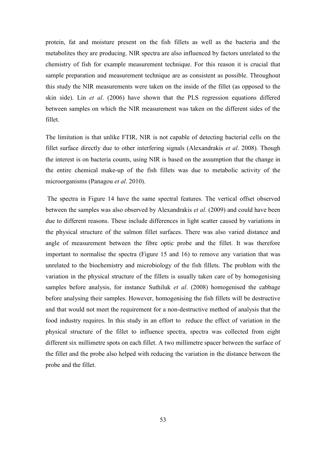protein, fat and moisture present on the fish fillets as well as the bacteria and the metabolites they are producing. NIR spectra are also influenced by factors unrelated to the chemistry of fish for example measurement technique. For this reason it is crucial that sample preparation and measurement technique are as consistent as possible. Throughout this study the NIR measurements were taken on the inside of the fillet (as opposed to the skin side). Lin *et al*. (2006) have shown that the PLS regression equations differed between samples on which the NIR measurement was taken on the different sides of the fillet.

The limitation is that unlike FTIR, NIR is not capable of detecting bacterial cells on the fillet surface directly due to other interfering signals (Alexandrakis *et al*. 2008). Though the interest is on bacteria counts, using NIR is based on the assumption that the change in the entire chemical make-up of the fish fillets was due to metabolic activity of the microorganisms (Panagou *et al*. 2010).

The spectra in Figure 14 have the same spectral features. The vertical offset observed between the samples was also observed by Alexandrakis *et al*. (2009) and could have been due to different reasons. These include differences in light scatter caused by variations in the physical structure of the salmon fillet surfaces. There was also varied distance and angle of measurement between the fibre optic probe and the fillet. It was therefore important to normalise the spectra (Figure 15 and 16) to remove any variation that was unrelated to the biochemistry and microbiology of the fish fillets. The problem with the variation in the physical structure of the fillets is usually taken care of by homogenising samples before analysis, for instance Suthiluk *et al*. (2008) homogenised the cabbage before analysing their samples. However, homogenising the fish fillets will be destructive and that would not meet the requirement for a non-destructive method of analysis that the food industry requires. In this study in an effort to reduce the effect of variation in the physical structure of the fillet to influence spectra, spectra was collected from eight different six millimetre spots on each fillet. A two millimetre spacer between the surface of the fillet and the probe also helped with reducing the variation in the distance between the probe and the fillet.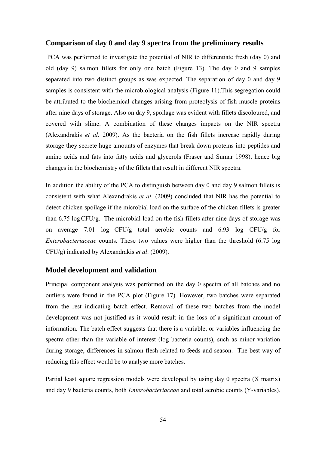#### **Comparison of day 0 and day 9 spectra from the preliminary results**

PCA was performed to investigate the potential of NIR to differentiate fresh (day 0) and old (day 9) salmon fillets for only one batch (Figure 13). The day 0 and 9 samples separated into two distinct groups as was expected. The separation of day 0 and day 9 samples is consistent with the microbiological analysis (Figure 11).This segregation could be attributed to the biochemical changes arising from proteolysis of fish muscle proteins after nine days of storage. Also on day 9, spoilage was evident with fillets discoloured, and covered with slime. A combination of these changes impacts on the NIR spectra (Alexandrakis *et al*. 2009). As the bacteria on the fish fillets increase rapidly during storage they secrete huge amounts of enzymes that break down proteins into peptides and amino acids and fats into fatty acids and glycerols (Fraser and Sumar 1998), hence big changes in the biochemistry of the fillets that result in different NIR spectra.

In addition the ability of the PCA to distinguish between day 0 and day 9 salmon fillets is consistent with what Alexandrakis *et al*. (2009) concluded that NIR has the potential to detect chicken spoilage if the microbial load on the surface of the chicken fillets is greater than 6.75 logCFU/g. The microbial load on the fish fillets after nine days of storage was on average 7.01 log CFU/g total aerobic counts and 6.93 log CFU/g for *Enterobacteriaceae* counts. These two values were higher than the threshold (6.75 log CFU/g) indicated by Alexandrakis *et al*. (2009).

#### **Model development and validation**

Principal component analysis was performed on the day 0 spectra of all batches and no outliers were found in the PCA plot (Figure 17). However, two batches were separated from the rest indicating batch effect. Removal of these two batches from the model development was not justified as it would result in the loss of a significant amount of information. The batch effect suggests that there is a variable, or variables influencing the spectra other than the variable of interest (log bacteria counts), such as minor variation during storage, differences in salmon flesh related to feeds and season. The best way of reducing this effect would be to analyse more batches.

Partial least square regression models were developed by using day 0 spectra (X matrix) and day 9 bacteria counts, both *Enterobacteriaceae* and total aerobic counts (Y-variables).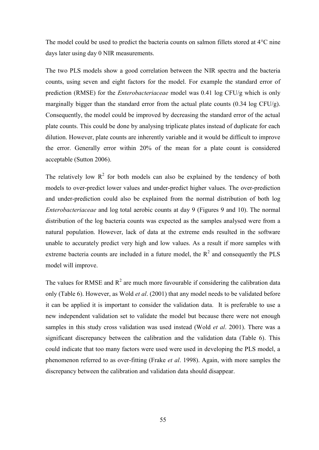The model could be used to predict the bacteria counts on salmon fillets stored at 4°C nine days later using day 0 NIR measurements.

The two PLS models show a good correlation between the NIR spectra and the bacteria counts, using seven and eight factors for the model. For example the standard error of prediction (RMSE) for the *Enterobacteriaceae* model was 0.41 log CFU/g which is only marginally bigger than the standard error from the actual plate counts (0.34 log CFU/g). Consequently, the model could be improved by decreasing the standard error of the actual plate counts. This could be done by analysing triplicate plates instead of duplicate for each dilution. However, plate counts are inherently variable and it would be difficult to improve the error. Generally error within 20% of the mean for a plate count is considered acceptable (Sutton 2006).

The relatively low  $R^2$  for both models can also be explained by the tendency of both models to over-predict lower values and under-predict higher values. The over-prediction and under-prediction could also be explained from the normal distribution of both log *Enterobacteriaceae* and log total aerobic counts at day 9 (Figures 9 and 10). The normal distribution of the log bacteria counts was expected as the samples analysed were from a natural population. However, lack of data at the extreme ends resulted in the software unable to accurately predict very high and low values. As a result if more samples with extreme bacteria counts are included in a future model, the  $R^2$  and consequently the PLS model will improve.

The values for RMSE and  $R^2$  are much more favourable if considering the calibration data only (Table 6). However, as Wold *et al*. (2001) that any model needs to be validated before it can be applied it is important to consider the validation data. It is preferable to use a new independent validation set to validate the model but because there were not enough samples in this study cross validation was used instead (Wold *et al*. 2001). There was a significant discrepancy between the calibration and the validation data (Table 6). This could indicate that too many factors were used were used in developing the PLS model, a phenomenon referred to as over-fitting (Frake *et al*. 1998). Again, with more samples the discrepancy between the calibration and validation data should disappear.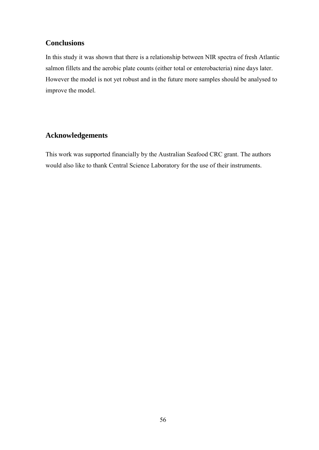## **Conclusions**

In this study it was shown that there is a relationship between NIR spectra of fresh Atlantic salmon fillets and the aerobic plate counts (either total or enterobacteria) nine days later. However the model is not yet robust and in the future more samples should be analysed to improve the model.

## **Acknowledgements**

This work was supported financially by the Australian Seafood CRC grant. The authors would also like to thank Central Science Laboratory for the use of their instruments.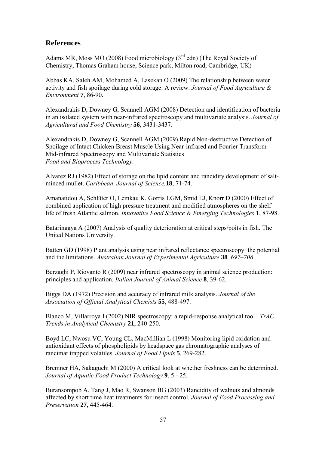## **References**

Adams MR, Moss MO (2008) Food microbiology  $(3<sup>rd</sup>$  edn) (The Royal Society of Chemistry, Thomas Graham house, Science park, Milton road, Cambridge, UK)

Abbas KA, Saleh AM, Mohamed A, Lasekan O (2009) The relationship between water activity and fish spoilage during cold storage: A review. *Journal of Food Agriculture & Environment* **7**, 86-90.

Alexandrakis D, Downey G, Scannell AGM (2008) Detection and identification of bacteria in an isolated system with near-infrared spectroscopy and multivariate analysis. *Journal of Agricultural and Food Chemistry* **56**, 3431-3437.

Alexandrakis D, Downey G, Scannell AGM (2009) Rapid Non-destructive Detection of Spoilage of Intact Chicken Breast Muscle Using Near-infrared and Fourier Transform Mid-infrared Spectroscopy and Multivariate Statistics *Food and Bioprocess Technology*.

Alvarez RJ (1982) Effect of storage on the lipid content and rancidity development of saltminced mullet. *Caribbean Journal of Science,***18**, 71-74.

Amanatidou A, Schlüter O, Lemkau K, Gorris LGM, Smid EJ, Knorr D (2000) Effect of combined application of high pressure treatment and modified atmospheres on the shelf life of fresh Atlantic salmon. *Innovative Food Science & Emerging Technologies* **1**, 87-98.

Bataringaya A (2007) Analysis of quality deterioration at critical steps/poits in fish. The United Nations University.

Batten GD (1998) Plant analysis using near infrared reflectance spectroscopy: the potential and the limitations. *Australian Journal of Experimental Agriculture* **38***, 697–706*.

Berzaghi P, Riovanto R (2009) near infrared spectroscopy in animal science production: principles and application. *Italian Journal of Animal Science* **8**, 39-62.

Biggs DA (1972) Precision and accuracy of infrared milk analysis. *Journal of the Association of Official Analytical Chemists* **55**, 488-497.

Blanco M, Villarroya I (2002) NIR spectroscopy: a rapid-response analytical tool *TrAC Trends in Analytical Chemistry* **21**, 240-250.

Boyd LC, Nwosu VC, Young CL, MacMillian L (1998) Monitoring lipid oxidation and antioxidant effects of phospholipids by headspace gas chromatographic analyses of rancimat trapped volatiles. *Journal of Food Lipids* **5**, 269-282.

Bremner HA, Sakaguchi M (2000) A critical look at whether freshness can be determined. *Journal of Aquatic Food Product Technology* **9**, 5 - 25.

Buransompob A, Tang J, Mao R, Swanson BG (2003) Rancidity of walnuts and almonds affected by short time heat treatments for insect control. *Journal of Food Processing and Preservation* **27**, 445-464.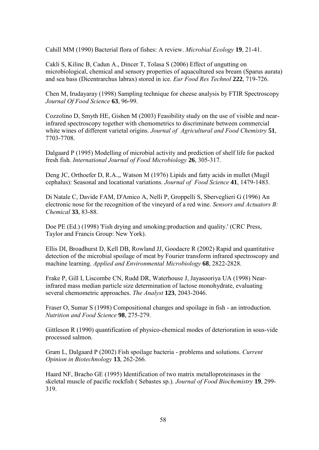Cahill MM (1990) Bacterial flora of fishes: A review. *Microbial Ecology* **19**, 21-41.

Cakli S, Kilinc B, Cadun A., Dincer T, Tolasa S (2006) Effect of ungutting on microbiological, chemical and sensory properties of aquacultured sea bream (Sparus aurata) and sea bass (Dicentrarchus labrax) stored in ice. *Eur Food Res Technol* **222**, 719-726.

Chen M, Irudayaray (1998) Sampling technique for cheese analysis by FTIR Spectroscopy *Journal Of Food Science* **63**, 96-99.

Cozzolino D, Smyth HE, Gishen M (2003) Feasibility study on the use of visible and nearinfrared spectroscopy together with chemometrics to discriminate between commercial white wines of different varietal origins. *Journal of Agricultural and Food Chemistry* **51**, 7703-7708.

Dalgaard P (1995) Modelling of microbial activity and prediction of shelf life for packed fresh fish. *International Journal of Food Microbiology* **26**, 305-317.

Deng JC, Orthoefer D, R.A.,, Watson M (1976) Lipids and fatty acids in mullet (Mugil cephalus): Seasonal and locational variations. *Journal of Food Science* **41**, 1479-1483.

Di Natale C, Davide FAM, D'Amico A, Nelli P, Groppelli S, Sberveglieri G (1996) An electronic nose for the recognition of the vineyard of a red wine. *Sensors and Actuators B: Chemical* **33**, 83-88.

Doe PE (Ed.) (1998) 'Fish drying and smoking:production and quality.' (CRC Press, Taylor and Francis Group: New York).

Ellis DI, Broadhurst D, Kell DB, Rowland JJ, Goodacre R (2002) Rapid and quantitative detection of the microbial spoilage of meat by Fourier transform infrared spectroscopy and machine learning. *Applied and Environmental Microbiology* **68**, 2822-2828.

Frake P, Gill I, Liscombe CN, Rudd DR, Waterhouse J, Jayasooriya UA (1998) Nearinfrared mass median particle size determination of lactose monohydrate, evaluating several chemometric approaches. *The Analyst* **123**, 2043-2046.

Fraser O, Sumar S (1998) Compositional changes and spoilage in fish - an introduction. *Nutrition and Food Science* **98**, 275-279.

Gittleson R (1990) quantification of physico-chemical modes of deterioration in sous-vide processed salmon.

Gram L, Dalgaard P (2002) Fish spoilage bacteria - problems and solutions. *Current Opinion in Biotechnology* **13**, 262-266.

Haard NF, Bracho GE (1995) Identification of two matrix metalloproteinases in the skeletal muscle of pacific rockfish ( Sebastes sp.). *Journal of Food Biochemistry* **19**, 299- 319.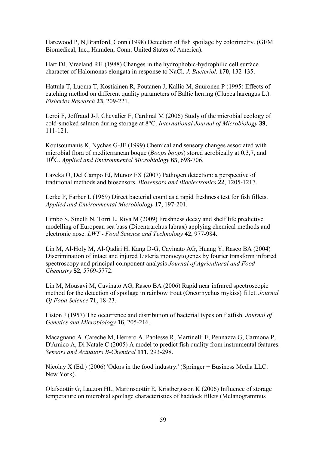Harewood P, N,Branford, Conn (1998) Detection of fish spoilage by colorimetry. (GEM Biomedical, Inc., Hamden, Conn: United States of America).

Hart DJ, Vreeland RH (1988) Changes in the hydrophobic-hydrophilic cell surface character of Halomonas elongata in response to NaCl. *J. Bacteriol.* **170**, 132-135.

Hattula T, Luoma T, Kostiainen R, Poutanen J, Kallio M, Suuronen P (1995) Effects of catching method on different quality parameters of Baltic herring (Clupea harengus L.). *Fisheries Research* **23**, 209-221.

Leroi F, Joffraud J-J, Chevalier F, Cardinal M (2006) Study of the microbial ecology of cold-smoked salmon during storage at 8°C. *International Journal of Microbiology* **39**, 111-121.

Koutsoumanis K, Nychas G-JE (1999) Chemical and sensory changes associated with microbial flora of mediterranean boque (*Boops boops*) stored aerobically at 0,3,7, and 10<sup>0</sup>C. *Applied and Environmental Microbiology* **65**, 698-706.

Lazcka O, Del Campo FJ, Munoz FX (2007) Pathogen detection: a perspective of traditional methods and biosensors. *Biosensors and Bioelectronics* **22**, 1205-1217.

Lerke P, Farber L (1969) Direct bacterial count as a rapid freshness test for fish fillets. *Applied and Environmental Microbiology* **17**, 197-201.

Limbo S, Sinelli N, Torri L, Riva M (2009) Freshness decay and shelf life predictive modelling of European sea bass (Dicentrarchus labrax) applying chemical methods and electronic nose. *LWT - Food Science and Technology* **42**, 977-984.

Lin M, Al-Holy M, Al-Qadiri H, Kang D-G, Cavinato AG, Huang Y, Rasco BA (2004) Discrimination of intact and injured Listeria monocytogenes by fourier transform infrared spectroscopy and principal component analysis *Journal of Agricultural and Food Chemistry* **52**, 5769-5772.

Lin M, Mousavi M, Cavinato AG, Rasco BA (2006) Rapid near infrared spectroscopic method for the detection of spoilage in rainbow trout (Oncorhychus mykiss) fillet. *Journal Of Food Science* **71**, 18-23.

Liston J (1957) The occurrence and distribution of bacterial types on flatfish. *Journal of Genetics and Microbiology* **16**, 205-216.

Macagnano A, Careche M, Herrero A, Paolesse R, Martinelli E, Pennazza G, Carmona P, D'Amico A, Di Natale C (2005) A model to predict fish quality from instrumental features. *Sensors and Actuators B-Chemical* **111**, 293-298.

Nicolay X (Ed.) (2006) 'Odors in the food industry.' (Springer + Business Media LLC: New York).

Olafsdottir G, Lauzon HL, Martinsdottir E, Kristbergsson K (2006) Influence of storage temperature on microbial spoilage characteristics of haddock fillets (Melanogrammus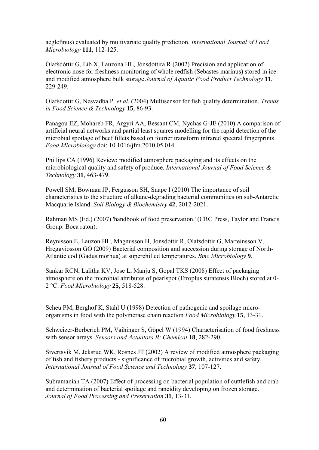aeglefinus) evaluated by multivariate quality prediction. *International Journal of Food Microbiology* **111**, 112-125.

Ólafsdóttir G, Lib X, Lauzona HL, Jónsdóttira R (2002) Precision and application of electronic nose for freshness monitoring of whole redfish (Sebastes marinus) stored in ice and modified atmosphere bulk storage *Journal of Aquatic Food Product Technology* **11**, 229-249.

Olafsdottir G, Nesvadba P*, et al.* (2004) Multisensor for fish quality determination. *Trends in Food Science & Technology* **15**, 86-93.

Panagou EZ, Mohareb FR, Argyri AA, Bessant CM, Nychas G-JE (2010) A comparison of artificial neural networks and partial least squares modelling for the rapid detection of the microbial spoilage of beef fillets based on fourier transform infrared spectral fingerprints. *Food Microbiology* doi: 10.1016/jfm.2010.05.014.

Phillips CA (1996) Review: modified atmosphere packaging and its effects on the microbiological quality and safety of produce. *International Journal of Food Science & Technology* **31**, 463-479.

Powell SM, Bowman JP, Fergusson SH, Snape I (2010) The importance of soil characteristics to the structure of alkane-degrading bacterial communities on sub-Antarctic Macquarie Island. *Soil Biology & Biochemistry* **42**, 2012-2021.

Rahman MS (Ed.) (2007) 'handbook of food preservation.' (CRC Press, Taylor and Francis Group: Boca raton).

Reynisson E, Lauzon HL, Magnusson H, Jonsdottir R, Olafsdottir G, Marteinsson V, Hreggviosson GO (2009) Bacterial composition and succession during storage of North-Atlantic cod (Gadus morhua) at superchilled temperatures. *Bmc Microbiology* **9**.

Sankar RCN, Lalitha KV, Jose L, Manju S, Gopal TKS (2008) Effect of packaging atmosphere on the microbial attributes of pearlspot (Etroplus suratensis Bloch) stored at 0- 2 °C. *Food Microbiology* **25**, 518-528.

Scheu PM, Berghof K, Stahl U (1998) Detection of pathogenic and spoilage microorganisms in food with the polymerase chain reaction *Food Microbiology* **15**, 13-31.

Schweizer-Berberich PM, Vaihinger S, Göpel W (1994) Characterisation of food freshness with sensor arrays. *Sensors and Actuators B: Chemical* **18**, 282-290.

Sivertsvik M, Jeksrud WK, Rosnes JT (2002) A review of modified atmosphere packaging of fish and fishery products - significance of microbial growth, activities and safety. *International Journal of Food Science and Technology* **37**, 107-127.

Subramanian TA (2007) Effect of processing on bacterial population of cuttlefish and crab and determination of bacterial spoilage and rancidity developing on frozen storage. *Journal of Food Processing and Preservation* **31**, 13-31.